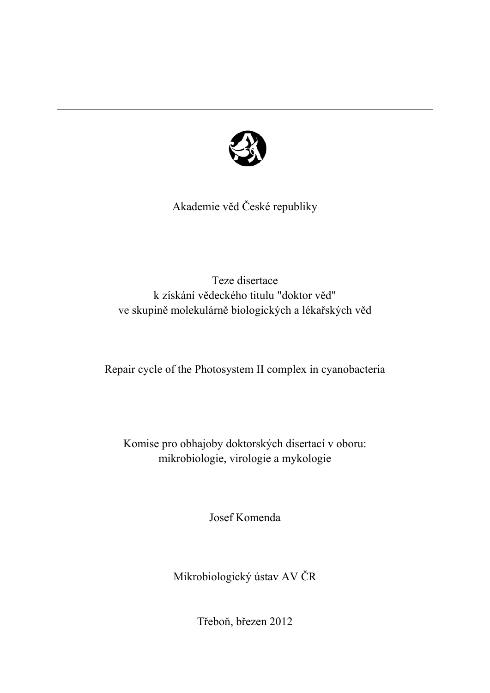

Akademie věd České republiky

Teze disertace k získání vědeckého titulu "doktor věd" ve skupině molekulárně biologických a lékařských věd

Repair cycle of the Photosystem II complex in cyanobacteria

Komise pro obhajoby doktorských disertací v oboru: mikrobiologie, virologie a mykologie

Josef Komenda

Mikrobiologický ústav AV ČR

Třeboň, březen 2012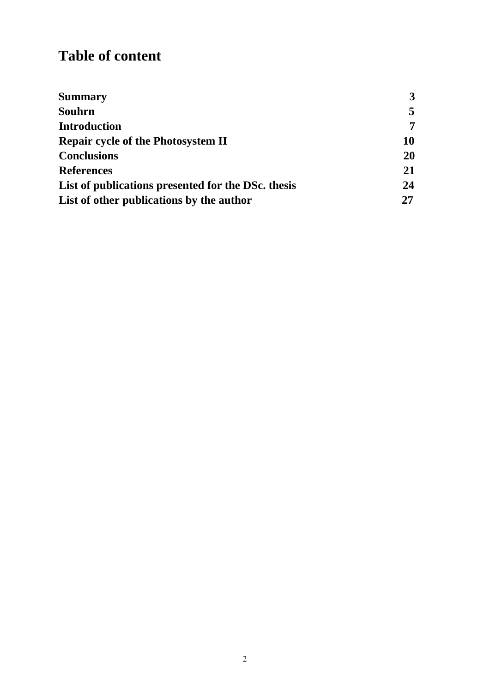# **Table of content**

| <b>Summary</b>                                     | $3^{\circ}$ |
|----------------------------------------------------|-------------|
| Souhrn                                             | 5           |
| <b>Introduction</b>                                | 7           |
| <b>Repair cycle of the Photosystem II</b>          | 10          |
| <b>Conclusions</b>                                 | 20          |
| <b>References</b>                                  | 21          |
| List of publications presented for the DSc. thesis | 24          |
| List of other publications by the author           | 27          |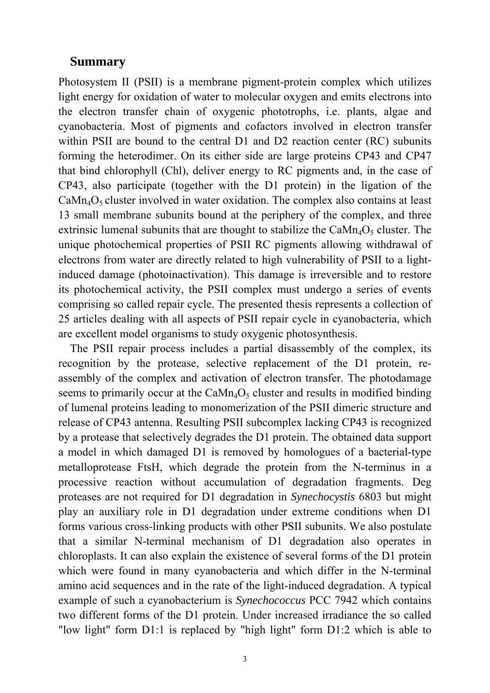#### **Summary**

Photosystem II (PSII) is a membrane pigment-protein complex which utilizes light energy for oxidation of water to molecular oxygen and emits electrons into the electron transfer chain of oxygenic phototrophs, i.e. plants, algae and cyanobacteria. Most of pigments and cofactors involved in electron transfer within PSII are bound to the central D1 and D2 reaction center (RC) subunits forming the heterodimer. On its either side are large proteins CP43 and CP47 that bind chlorophyll (Chl), deliver energy to RC pigments and, in the case of CP43, also participate (together with the D1 protein) in the ligation of the  $CaMn<sub>4</sub>O<sub>5</sub> cluster involved in water oxidation. The complex also contains at least$ 13 small membrane subunits bound at the periphery of the complex, and three extrinsic lumenal subunits that are thought to stabilize the  $CaMn_4O_5$  cluster. The unique photochemical properties of PSII RC pigments allowing withdrawal of electrons from water are directly related to high vulnerability of PSII to a lightinduced damage (photoinactivation). This damage is irreversible and to restore its photochemical activity, the PSII complex must undergo a series of events comprising so called repair cycle. The presented thesis represents a collection of 25 articles dealing with all aspects of PSII repair cycle in cyanobacteria, which are excellent model organisms to study oxygenic photosynthesis.

The PSII repair process includes a partial disassembly of the complex, its recognition by the protease, selective replacement of the D1 protein, reassembly of the complex and activation of electron transfer. The photodamage seems to primarily occur at the  $CaMn_4O_5$  cluster and results in modified binding of lumenal proteins leading to monomerization of the PSII dimeric structure and release of CP43 antenna. Resulting PSII subcomplex lacking CP43 is recognized by a protease that selectively degrades the D1 protein. The obtained data support a model in which damaged D1 is removed by homologues of a bacterial-type metalloprotease FtsH, which degrade the protein from the N-terminus in a processive reaction without accumulation of degradation fragments. Deg proteases are not required for D1 degradation in *Synechocystis* 6803 but might play an auxiliary role in D1 degradation under extreme conditions when D1 forms various cross-linking products with other PSII subunits. We also postulate that a similar N-terminal mechanism of D1 degradation also operates in chloroplasts. It can also explain the existence of several forms of the D1 protein which were found in many cyanobacteria and which differ in the N-terminal amino acid sequences and in the rate of the light-induced degradation. A typical example of such a cyanobacterium is *Synechococcus* PCC 7942 which contains two different forms of the D1 protein. Under increased irradiance the so called "low light" form D1:1 is replaced by "high light" form D1:2 which is able to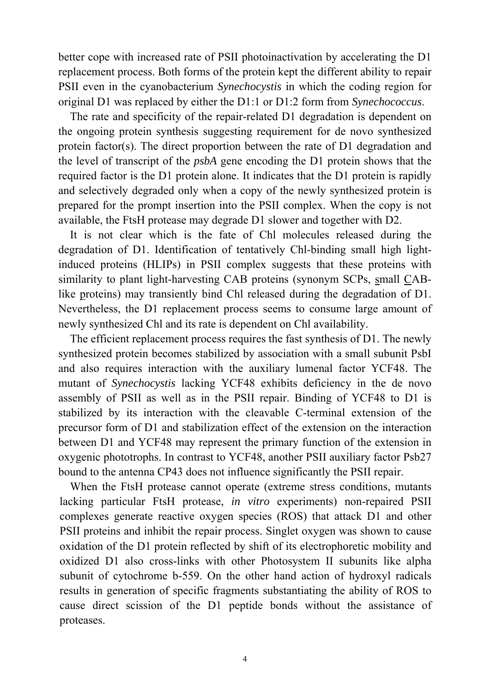better cope with increased rate of PSII photoinactivation by accelerating the D1 replacement process. Both forms of the protein kept the different ability to repair PSII even in the cyanobacterium *Synechocystis* in which the coding region for original D1 was replaced by either the D1:1 or D1:2 form from *Synechococcus*.

The rate and specificity of the repair-related D1 degradation is dependent on the ongoing protein synthesis suggesting requirement for de novo synthesized protein factor(s). The direct proportion between the rate of D1 degradation and the level of transcript of the *psbA* gene encoding the D1 protein shows that the required factor is the D1 protein alone. It indicates that the D1 protein is rapidly and selectively degraded only when a copy of the newly synthesized protein is prepared for the prompt insertion into the PSII complex. When the copy is not available, the FtsH protease may degrade D1 slower and together with D2.

It is not clear which is the fate of Chl molecules released during the degradation of D1. Identification of tentatively Chl-binding small high lightinduced proteins (HLIPs) in PSII complex suggests that these proteins with similarity to plant light-harvesting CAB proteins (synonym SCPs, small CABlike proteins) may transiently bind Chl released during the degradation of D1. Nevertheless, the D1 replacement process seems to consume large amount of newly synthesized Chl and its rate is dependent on Chl availability.

The efficient replacement process requires the fast synthesis of D1. The newly synthesized protein becomes stabilized by association with a small subunit PsbI and also requires interaction with the auxiliary lumenal factor YCF48. The mutant of *Synechocystis* lacking YCF48 exhibits deficiency in the de novo assembly of PSII as well as in the PSII repair. Binding of YCF48 to D1 is stabilized by its interaction with the cleavable C-terminal extension of the precursor form of D1 and stabilization effect of the extension on the interaction between D1 and YCF48 may represent the primary function of the extension in oxygenic phototrophs. In contrast to YCF48, another PSII auxiliary factor Psb27 bound to the antenna CP43 does not influence significantly the PSII repair.

When the FtsH protease cannot operate (extreme stress conditions, mutants lacking particular FtsH protease, *in vitro* experiments) non-repaired PSII complexes generate reactive oxygen species (ROS) that attack D1 and other PSII proteins and inhibit the repair process. Singlet oxygen was shown to cause oxidation of the D1 protein reflected by shift of its electrophoretic mobility and oxidized D1 also cross-links with other Photosystem II subunits like alpha subunit of cytochrome b-559. On the other hand action of hydroxyl radicals results in generation of specific fragments substantiating the ability of ROS to cause direct scission of the D1 peptide bonds without the assistance of proteases.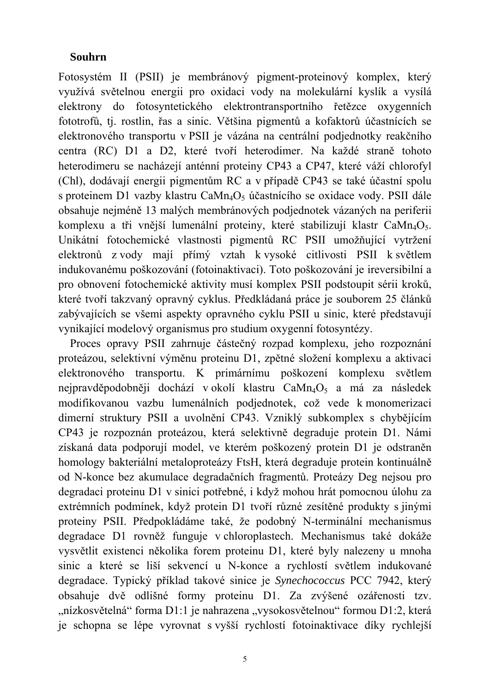## **Souhrn**

Fotosystém II (PSII) je membránový pigment-proteinový komplex, který využívá světelnou energii pro oxidaci vody na molekulární kyslík a vysílá elektrony do fotosyntetického elektrontransportního řetězce oxygenních fototrofů, tj. rostlin, řas a sinic. Většina pigmentů a kofaktorů účastnících se elektronového transportu v PSII je vázána na centrální podjednotky reakčního centra (RC) D1 a D2, které tvoří heterodimer. Na každé straně tohoto heterodimeru se nacházejí anténní proteiny CP43 a CP47, které váží chlorofyl (Chl), dodávají energii pigmentům RC a v případě CP43 se také účastní spolu s proteinem D1 vazby klastru Ca $Mn_4O_5$  účastnícího se oxidace vody. PSII dále obsahuje nejméně 13 malých membránových podjednotek vázaných na periferii komplexu a tři vnější lumenální proteiny, které stabilizují klastr  $CaMn_4O_5$ . Unikátní fotochemické vlastnosti pigmentů RC PSII umožňující vytržení elektronů z vody mají přímý vztah k vysoké citlivosti PSII k světlem indukovanému poškozování (fotoinaktivaci). Toto poškozování je ireversibilní a pro obnovení fotochemické aktivity musí komplex PSII podstoupit sérii kroků, které tvoří takzvaný opravný cyklus. Předkládaná práce je souborem 25 článků zabývajících se všemi aspekty opravného cyklu PSII u sinic, které představují vynikající modelový organismus pro studium oxygenní fotosyntézy.

Proces opravy PSII zahrnuje částečný rozpad komplexu, jeho rozpoznání proteázou, selektivní výměnu proteinu D1, zpětné složení komplexu a aktivaci elektronového transportu. K primárnímu poškození komplexu světlem nejpravděpodobněji dochází v okolí klastru CaMn<sub>4</sub>O<sub>5</sub> a má za následek modifikovanou vazbu lumenálních podjednotek, což vede k monomerizaci dimerní struktury PSII a uvolnění CP43. Vzniklý subkomplex s chybějícím CP43 je rozpoznán proteázou, která selektivně degraduje protein D1. Námi získaná data podporují model, ve kterém poškozený protein D1 je odstraněn homology bakteriální metaloproteázy FtsH, která degraduje protein kontinuálně od N-konce bez akumulace degradačních fragmentů. Proteázy Deg nejsou pro degradaci proteinu D1 v sinici potřebné, i když mohou hrát pomocnou úlohu za extrémních podmínek, když protein D1 tvoří různé zesítěné produkty s jinými proteiny PSII. Předpokládáme také, že podobný N-terminální mechanismus degradace D1 rovněž funguje v chloroplastech. Mechanismus také dokáže vysvětlit existenci několika forem proteinu D1, které byly nalezeny u mnoha sinic a které se liší sekvencí u N-konce a rychlostí světlem indukované degradace. Typický příklad takové sinice je *Synechococcus* PCC 7942, který obsahuje dvě odlišné formy proteinu D1. Za zvýšené ozářenosti tzv. "nízkosvětelná" forma D1:1 je nahrazena "vysokosvětelnou" formou D1:2, která je schopna se lépe vyrovnat s vyšší rychlostí fotoinaktivace díky rychlejší

5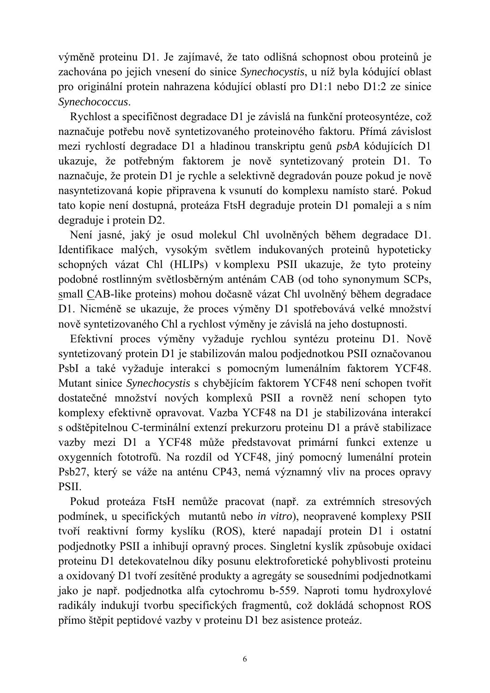výměně proteinu D1. Je zajímavé, že tato odlišná schopnost obou proteinů je zachována po jejich vnesení do sinice *Synechocystis*, u níž byla kódující oblast pro originální protein nahrazena kódující oblastí pro D1:1 nebo D1:2 ze sinice *Synechococcus*.

Rychlost a specifičnost degradace D1 je závislá na funkční proteosyntéze, což naznačuje potřebu nově syntetizovaného proteinového faktoru. Přímá závislost mezi rychlostí degradace D1 a hladinou transkriptu genů *psbA* kódujících D1 ukazuje, že potřebným faktorem je nově syntetizovaný protein D1. To naznačuje, že protein D1 je rychle a selektivně degradován pouze pokud je nově nasyntetizovaná kopie připravena k vsunutí do komplexu namísto staré. Pokud tato kopie není dostupná, proteáza FtsH degraduje protein D1 pomaleji a s ním degraduje i protein D2.

Není jasné, jaký je osud molekul Chl uvolněných během degradace D1. Identifikace malých, vysokým světlem indukovaných proteinů hypoteticky schopných vázat Chl (HLIPs) v komplexu PSII ukazuje, že tyto proteiny podobné rostlinným světlosběrným anténám CAB (od toho synonymum SCPs, small CAB-like proteins) mohou dočasně vázat Chl uvolněný během degradace D1. Nicméně se ukazuje, že proces výměny D1 spotřebovává velké množství nově syntetizovaného Chl a rychlost výměny je závislá na jeho dostupnosti.

Efektivní proces výměny vyžaduje rychlou syntézu proteinu D1. Nově syntetizovaný protein D1 je stabilizován malou podjednotkou PSII označovanou PsbI a také vyžaduje interakci s pomocným lumenálním faktorem YCF48. Mutant sinice *Synechocystis* s chybějícím faktorem YCF48 není schopen tvořit dostatečné množství nových komplexů PSII a rovněž není schopen tyto komplexy efektivně opravovat. Vazba YCF48 na D1 je stabilizována interakcí s odštěpitelnou C-terminální extenzí prekurzoru proteinu D1 a právě stabilizace vazby mezi D1 a YCF48 může představovat primární funkci extenze u oxygenních fototrofů. Na rozdíl od YCF48, jiný pomocný lumenální protein Psb27, který se váže na anténu CP43, nemá významný vliv na proces opravy PSII.

Pokud proteáza FtsH nemůže pracovat (např. za extrémních stresových podmínek, u specifických mutantů nebo *in vitro*), neopravené komplexy PSII tvoří reaktivní formy kyslíku (ROS), které napadají protein D1 i ostatní podjednotky PSII a inhibují opravný proces. Singletní kyslík způsobuje oxidaci proteinu D1 detekovatelnou díky posunu elektroforetické pohyblivosti proteinu a oxidovaný D1 tvoří zesítěné produkty a agregáty se sousedními podjednotkami jako je např. podjednotka alfa cytochromu b-559. Naproti tomu hydroxylové radikály indukují tvorbu specifických fragmentů, což dokládá schopnost ROS přímo štěpit peptidové vazby v proteinu D1 bez asistence proteáz.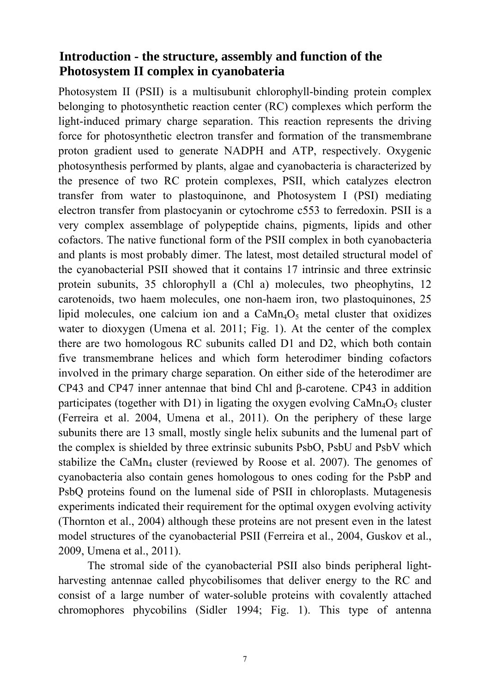## **Introduction - the structure, assembly and function of the Photosystem II complex in cyanobateria**

Photosystem II (PSII) is a multisubunit chlorophyll-binding protein complex belonging to photosynthetic reaction center (RC) complexes which perform the light-induced primary charge separation. This reaction represents the driving force for photosynthetic electron transfer and formation of the transmembrane proton gradient used to generate NADPH and ATP, respectively. Oxygenic photosynthesis performed by plants, algae and cyanobacteria is characterized by the presence of two RC protein complexes, PSII, which catalyzes electron transfer from water to plastoquinone, and Photosystem I (PSI) mediating electron transfer from plastocyanin or cytochrome c553 to ferredoxin. PSII is a very complex assemblage of polypeptide chains, pigments, lipids and other cofactors. The native functional form of the PSII complex in both cyanobacteria and plants is most probably dimer. The latest, most detailed structural model of the cyanobacterial PSII showed that it contains 17 intrinsic and three extrinsic protein subunits, 35 chlorophyll a (Chl a) molecules, two pheophytins, 12 carotenoids, two haem molecules, one non-haem iron, two plastoquinones, 25 lipid molecules, one calcium ion and a  $CaMn<sub>4</sub>O<sub>5</sub>$  metal cluster that oxidizes water to dioxygen (Umena et al. 2011; Fig. 1). At the center of the complex there are two homologous RC subunits called D1 and D2, which both contain five transmembrane helices and which form heterodimer binding cofactors involved in the primary charge separation. On either side of the heterodimer are CP43 and CP47 inner antennae that bind Chl and β-carotene. CP43 in addition participates (together with D1) in ligating the oxygen evolving  $\text{CaMn}_4\text{O}_5$  cluster (Ferreira et al. 2004, Umena et al., 2011). On the periphery of these large subunits there are 13 small, mostly single helix subunits and the lumenal part of the complex is shielded by three extrinsic subunits PsbO, PsbU and PsbV which stabilize the CaMn<sub>4</sub> cluster (reviewed by Roose et al. 2007). The genomes of cyanobacteria also contain genes homologous to ones coding for the PsbP and PsbQ proteins found on the lumenal side of PSII in chloroplasts. Mutagenesis experiments indicated their requirement for the optimal oxygen evolving activity (Thornton et al., 2004) although these proteins are not present even in the latest model structures of the cyanobacterial PSII (Ferreira et al., 2004, Guskov et al., 2009, Umena et al., 2011).

The stromal side of the cyanobacterial PSII also binds peripheral lightharvesting antennae called phycobilisomes that deliver energy to the RC and consist of a large number of water-soluble proteins with covalently attached chromophores phycobilins (Sidler 1994; Fig. 1). This type of antenna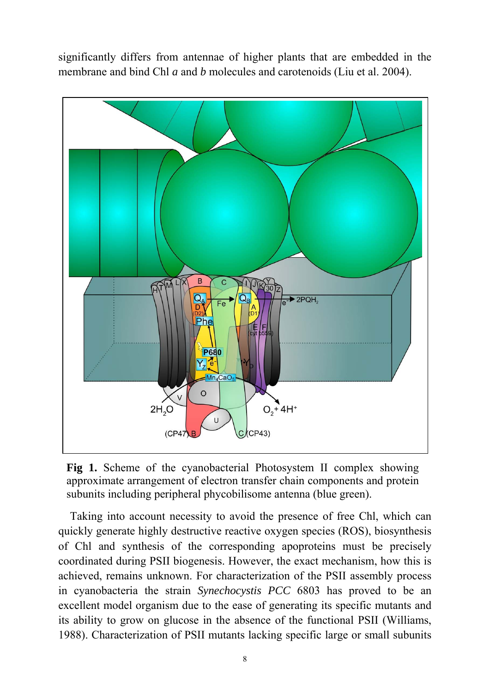significantly differs from antennae of higher plants that are embedded in the membrane and bind Chl *a* and *b* molecules and carotenoids (Liu et al. 2004).



**Fig 1.** Scheme of the cyanobacterial Photosystem II complex showing approximate arrangement of electron transfer chain components and protein subunits including peripheral phycobilisome antenna (blue green).

Taking into account necessity to avoid the presence of free Chl, which can quickly generate highly destructive reactive oxygen species (ROS), biosynthesis of Chl and synthesis of the corresponding apoproteins must be precisely coordinated during PSII biogenesis. However, the exact mechanism, how this is achieved, remains unknown. For characterization of the PSII assembly process in cyanobacteria the strain *Synechocystis PCC* 6803 has proved to be an excellent model organism due to the ease of generating its specific mutants and its ability to grow on glucose in the absence of the functional PSII (Williams, 1988). Characterization of PSII mutants lacking specific large or small subunits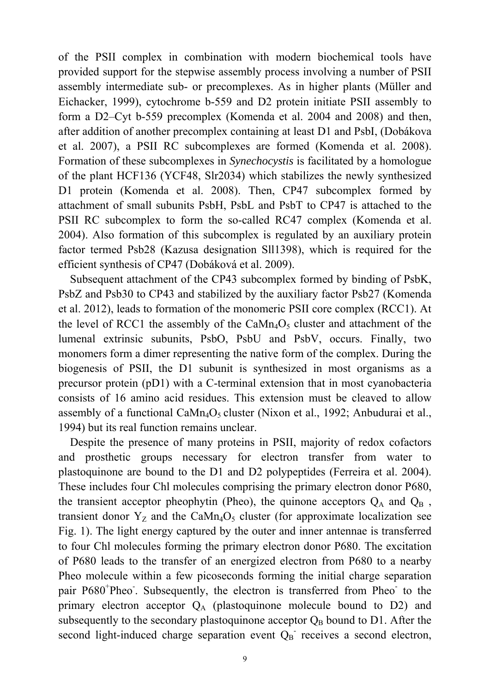of the PSII complex in combination with modern biochemical tools have provided support for the stepwise assembly process involving a number of PSII assembly intermediate sub- or precomplexes. As in higher plants (Müller and Eichacker, 1999), cytochrome b-559 and D2 protein initiate PSII assembly to form a D2–Cyt b-559 precomplex (Komenda et al. 2004 and 2008) and then, after addition of another precomplex containing at least D1 and PsbI, (Dobákova et al. 2007), a PSII RC subcomplexes are formed (Komenda et al. 2008). Formation of these subcomplexes in *Synechocystis* is facilitated by a homologue of the plant HCF136 (YCF48, Slr2034) which stabilizes the newly synthesized D1 protein (Komenda et al. 2008). Then, CP47 subcomplex formed by attachment of small subunits PsbH, PsbL and PsbT to CP47 is attached to the PSII RC subcomplex to form the so-called RC47 complex (Komenda et al. 2004). Also formation of this subcomplex is regulated by an auxiliary protein factor termed Psb28 (Kazusa designation Sll1398), which is required for the efficient synthesis of CP47 (Dobáková et al. 2009).

Subsequent attachment of the CP43 subcomplex formed by binding of PsbK, PsbZ and Psb30 to CP43 and stabilized by the auxiliary factor Psb27 (Komenda et al. 2012), leads to formation of the monomeric PSII core complex (RCC1). At the level of RCC1 the assembly of the  $CaMn<sub>4</sub>O<sub>5</sub>$  cluster and attachment of the lumenal extrinsic subunits, PsbO, PsbU and PsbV, occurs. Finally, two monomers form a dimer representing the native form of the complex. During the biogenesis of PSII, the D1 subunit is synthesized in most organisms as a precursor protein (pD1) with a C-terminal extension that in most cyanobacteria consists of 16 amino acid residues. This extension must be cleaved to allow assembly of a functional CaMn<sub>4</sub>O<sub>5</sub> cluster (Nixon et al., 1992; Anbudurai et al., 1994) but its real function remains unclear.

Despite the presence of many proteins in PSII, majority of redox cofactors and prosthetic groups necessary for electron transfer from water to plastoquinone are bound to the D1 and D2 polypeptides (Ferreira et al. 2004). These includes four Chl molecules comprising the primary electron donor P680, the transient acceptor pheophytin (Pheo), the quinone acceptors  $Q_A$  and  $Q_B$ , transient donor  $Y_Z$  and the CaMn<sub>4</sub>O<sub>5</sub> cluster (for approximate localization see Fig. 1). The light energy captured by the outer and inner antennae is transferred to four Chl molecules forming the primary electron donor P680. The excitation of P680 leads to the transfer of an energized electron from P680 to a nearby Pheo molecule within a few picoseconds forming the initial charge separation pair P680<sup>+</sup>Pheo<sup>-</sup>. Subsequently, the electron is transferred from Pheo<sup>-</sup> to the primary electron acceptor  $Q_A$  (plastoquinone molecule bound to D2) and subsequently to the secondary plastoquinone acceptor  $Q_B$  bound to D1. After the second light-induced charge separation event  $Q_B$  receives a second electron,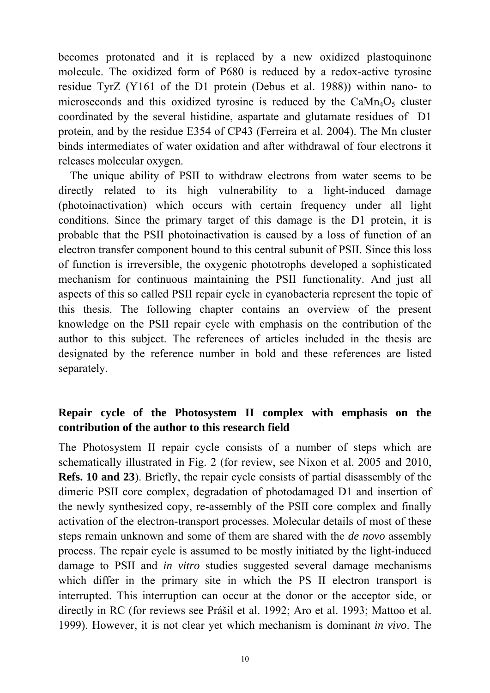becomes protonated and it is replaced by a new oxidized plastoquinone molecule. The oxidized form of P680 is reduced by a redox-active tyrosine residue TyrZ (Y161 of the D1 protein (Debus et al. 1988)) within nano- to microseconds and this oxidized tyrosine is reduced by the  $CaMn<sub>4</sub>O<sub>5</sub>$  cluster coordinated by the several histidine, aspartate and glutamate residues of D1 protein, and by the residue E354 of CP43 (Ferreira et al. 2004). The Mn cluster binds intermediates of water oxidation and after withdrawal of four electrons it releases molecular oxygen.

The unique ability of PSII to withdraw electrons from water seems to be directly related to its high vulnerability to a light-induced damage (photoinactivation) which occurs with certain frequency under all light conditions. Since the primary target of this damage is the D1 protein, it is probable that the PSII photoinactivation is caused by a loss of function of an electron transfer component bound to this central subunit of PSII. Since this loss of function is irreversible, the oxygenic phototrophs developed a sophisticated mechanism for continuous maintaining the PSII functionality. And just all aspects of this so called PSII repair cycle in cyanobacteria represent the topic of this thesis. The following chapter contains an overview of the present knowledge on the PSII repair cycle with emphasis on the contribution of the author to this subject. The references of articles included in the thesis are designated by the reference number in bold and these references are listed separately.

## **Repair cycle of the Photosystem II complex with emphasis on the contribution of the author to this research field**

The Photosystem II repair cycle consists of a number of steps which are schematically illustrated in Fig. 2 (for review, see Nixon et al. 2005 and 2010, **Refs. 10 and 23**). Briefly, the repair cycle consists of partial disassembly of the dimeric PSII core complex, degradation of photodamaged D1 and insertion of the newly synthesized copy, re-assembly of the PSII core complex and finally activation of the electron-transport processes. Molecular details of most of these steps remain unknown and some of them are shared with the *de novo* assembly process. The repair cycle is assumed to be mostly initiated by the light-induced damage to PSII and *in vitro* studies suggested several damage mechanisms which differ in the primary site in which the PS II electron transport is interrupted. This interruption can occur at the donor or the acceptor side, or directly in RC (for reviews see Prášil et al. 1992; Aro et al. 1993; Mattoo et al. 1999). However, it is not clear yet which mechanism is dominant *in vivo*. The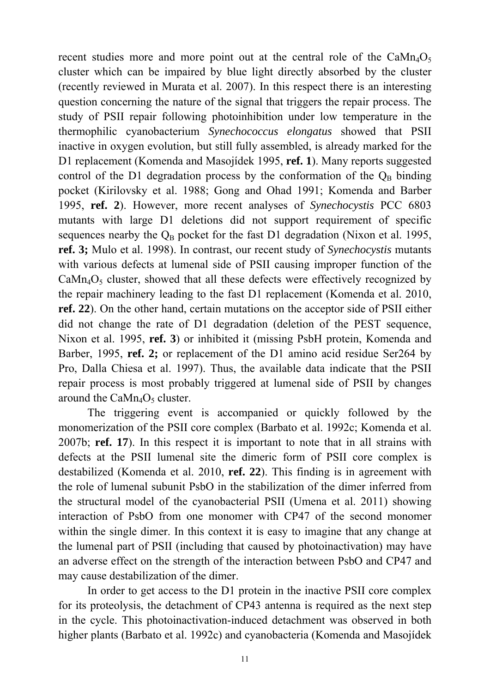recent studies more and more point out at the central role of the  $CaMn<sub>4</sub>O<sub>5</sub>$ cluster which can be impaired by blue light directly absorbed by the cluster (recently reviewed in Murata et al. 2007). In this respect there is an interesting question concerning the nature of the signal that triggers the repair process. The study of PSII repair following photoinhibition under low temperature in the thermophilic cyanobacterium *Synechococcus elongatus* showed that PSII inactive in oxygen evolution, but still fully assembled, is already marked for the D1 replacement (Komenda and Masojídek 1995, **ref. 1**). Many reports suggested control of the D1 degradation process by the conformation of the  $Q_B$  binding pocket (Kirilovsky et al. 1988; Gong and Ohad 1991; Komenda and Barber 1995, **ref. 2**). However, more recent analyses of *Synechocystis* PCC 6803 mutants with large D1 deletions did not support requirement of specific sequences nearby the  $Q_B$  pocket for the fast D1 degradation (Nixon et al. 1995, **ref. 3;** Mulo et al. 1998). In contrast, our recent study of *Synechocystis* mutants with various defects at lumenal side of PSII causing improper function of the  $CaMn<sub>4</sub>O<sub>5</sub>$  cluster, showed that all these defects were effectively recognized by the repair machinery leading to the fast D1 replacement (Komenda et al. 2010, **ref. 22**). On the other hand, certain mutations on the acceptor side of PSII either did not change the rate of D1 degradation (deletion of the PEST sequence, Nixon et al. 1995, **ref. 3**) or inhibited it (missing PsbH protein, Komenda and Barber, 1995, **ref. 2;** or replacement of the D1 amino acid residue Ser264 by Pro, Dalla Chiesa et al. 1997). Thus, the available data indicate that the PSII repair process is most probably triggered at lumenal side of PSII by changes around the  $CaMn_4O_5$  cluster.

The triggering event is accompanied or quickly followed by the monomerization of the PSII core complex (Barbato et al. 1992c; Komenda et al. 2007b; **ref. 17**). In this respect it is important to note that in all strains with defects at the PSII lumenal site the dimeric form of PSII core complex is destabilized (Komenda et al. 2010, **ref. 22**). This finding is in agreement with the role of lumenal subunit PsbO in the stabilization of the dimer inferred from the structural model of the cyanobacterial PSII (Umena et al. 2011) showing interaction of PsbO from one monomer with CP47 of the second monomer within the single dimer. In this context it is easy to imagine that any change at the lumenal part of PSII (including that caused by photoinactivation) may have an adverse effect on the strength of the interaction between PsbO and CP47 and may cause destabilization of the dimer.

In order to get access to the D1 protein in the inactive PSII core complex for its proteolysis, the detachment of CP43 antenna is required as the next step in the cycle. This photoinactivation-induced detachment was observed in both higher plants (Barbato et al. 1992c) and cyanobacteria (Komenda and Masojídek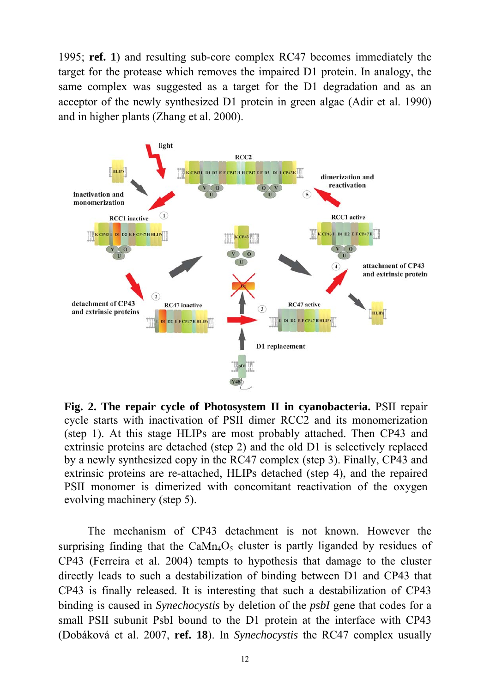1995; **ref. 1**) and resulting sub-core complex RC47 becomes immediately the target for the protease which removes the impaired D1 protein. In analogy, the same complex was suggested as a target for the D1 degradation and as an acceptor of the newly synthesized D1 protein in green algae (Adir et al. 1990) and in higher plants (Zhang et al. 2000).



**Fig. 2. The repair cycle of Photosystem II in cyanobacteria.** PSII repair cycle starts with inactivation of PSII dimer RCC2 and its monomerization (step 1). At this stage HLIPs are most probably attached. Then CP43 and extrinsic proteins are detached (step 2) and the old D1 is selectively replaced by a newly synthesized copy in the RC47 complex (step 3). Finally, CP43 and extrinsic proteins are re-attached, HLIPs detached (step 4), and the repaired PSII monomer is dimerized with concomitant reactivation of the oxygen evolving machinery (step 5).

The mechanism of CP43 detachment is not known. However the surprising finding that the CaMn<sub>4</sub>O<sub>5</sub> cluster is partly liganded by residues of CP43 (Ferreira et al. 2004) tempts to hypothesis that damage to the cluster directly leads to such a destabilization of binding between D1 and CP43 that CP43 is finally released. It is interesting that such a destabilization of CP43 binding is caused in *Synechocystis* by deletion of the *psbI* gene that codes for a small PSII subunit PsbI bound to the D1 protein at the interface with CP43 (Dobáková et al. 2007, **ref. 18**). In *Synechocystis* the RC47 complex usually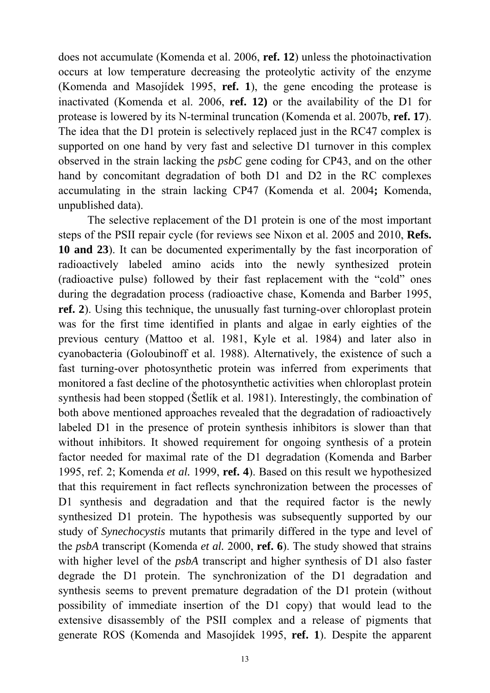does not accumulate (Komenda et al. 2006, **ref. 12**) unless the photoinactivation occurs at low temperature decreasing the proteolytic activity of the enzyme (Komenda and Masojídek 1995, **ref. 1**), the gene encoding the protease is inactivated (Komenda et al. 2006, **ref. 12)** or the availability of the D1 for protease is lowered by its N-terminal truncation (Komenda et al. 2007b, **ref. 17**). The idea that the D1 protein is selectively replaced just in the RC47 complex is supported on one hand by very fast and selective D1 turnover in this complex observed in the strain lacking the *psbC* gene coding for CP43, and on the other hand by concomitant degradation of both D1 and D2 in the RC complexes accumulating in the strain lacking CP47 (Komenda et al. 2004**;** Komenda, unpublished data).

The selective replacement of the D1 protein is one of the most important steps of the PSII repair cycle (for reviews see Nixon et al. 2005 and 2010, **Refs. 10 and 23**). It can be documented experimentally by the fast incorporation of radioactively labeled amino acids into the newly synthesized protein (radioactive pulse) followed by their fast replacement with the "cold" ones during the degradation process (radioactive chase, Komenda and Barber 1995, **ref. 2**). Using this technique, the unusually fast turning-over chloroplast protein was for the first time identified in plants and algae in early eighties of the previous century (Mattoo et al. 1981, Kyle et al. 1984) and later also in cyanobacteria (Goloubinoff et al. 1988). Alternatively, the existence of such a fast turning-over photosynthetic protein was inferred from experiments that monitored a fast decline of the photosynthetic activities when chloroplast protein synthesis had been stopped (Šetlík et al. 1981). Interestingly, the combination of both above mentioned approaches revealed that the degradation of radioactively labeled D1 in the presence of protein synthesis inhibitors is slower than that without inhibitors. It showed requirement for ongoing synthesis of a protein factor needed for maximal rate of the D1 degradation (Komenda and Barber 1995, ref. 2; Komenda *et al.* 1999, **ref. 4**). Based on this result we hypothesized that this requirement in fact reflects synchronization between the processes of D1 synthesis and degradation and that the required factor is the newly synthesized D1 protein. The hypothesis was subsequently supported by our study of *Synechocystis* mutants that primarily differed in the type and level of the *psbA* transcript (Komenda *et al.* 2000, **ref. 6**). The study showed that strains with higher level of the *psbA* transcript and higher synthesis of D1 also faster degrade the D1 protein. The synchronization of the D1 degradation and synthesis seems to prevent premature degradation of the D1 protein (without possibility of immediate insertion of the D1 copy) that would lead to the extensive disassembly of the PSII complex and a release of pigments that generate ROS (Komenda and Masojídek 1995, **ref. 1**). Despite the apparent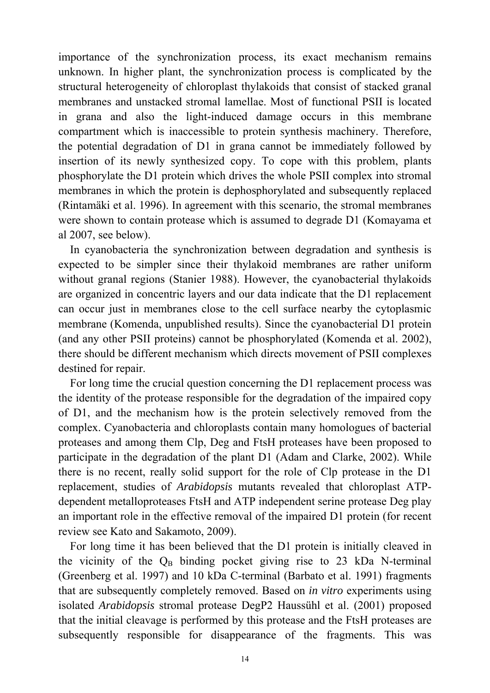importance of the synchronization process, its exact mechanism remains unknown. In higher plant, the synchronization process is complicated by the structural heterogeneity of chloroplast thylakoids that consist of stacked granal membranes and unstacked stromal lamellae. Most of functional PSII is located in grana and also the light-induced damage occurs in this membrane compartment which is inaccessible to protein synthesis machinery. Therefore, the potential degradation of D1 in grana cannot be immediately followed by insertion of its newly synthesized copy. To cope with this problem, plants phosphorylate the D1 protein which drives the whole PSII complex into stromal membranes in which the protein is dephosphorylated and subsequently replaced (Rintamäki et al. 1996). In agreement with this scenario, the stromal membranes were shown to contain protease which is assumed to degrade D1 (Komayama et al 2007, see below).

In cyanobacteria the synchronization between degradation and synthesis is expected to be simpler since their thylakoid membranes are rather uniform without granal regions (Stanier 1988). However, the cyanobacterial thylakoids are organized in concentric layers and our data indicate that the D1 replacement can occur just in membranes close to the cell surface nearby the cytoplasmic membrane (Komenda, unpublished results). Since the cyanobacterial D1 protein (and any other PSII proteins) cannot be phosphorylated (Komenda et al. 2002), there should be different mechanism which directs movement of PSII complexes destined for repair.

For long time the crucial question concerning the D1 replacement process was the identity of the protease responsible for the degradation of the impaired copy of D1, and the mechanism how is the protein selectively removed from the complex. Cyanobacteria and chloroplasts contain many homologues of bacterial proteases and among them Clp, Deg and FtsH proteases have been proposed to participate in the degradation of the plant D1 (Adam and Clarke, 2002). While there is no recent, really solid support for the role of Clp protease in the D1 replacement, studies of *Arabidopsis* mutants revealed that chloroplast ATPdependent metalloproteases FtsH and ATP independent serine protease Deg play an important role in the effective removal of the impaired D1 protein (for recent review see Kato and Sakamoto, 2009).

For long time it has been believed that the D1 protein is initially cleaved in the vicinity of the  $Q_B$  binding pocket giving rise to 23 kDa N-terminal (Greenberg et al. 1997) and 10 kDa C-terminal (Barbato et al. 1991) fragments that are subsequently completely removed. Based on *in vitro* experiments using isolated *Arabidopsis* stromal protease DegP2 Haussühl et al. (2001) proposed that the initial cleavage is performed by this protease and the FtsH proteases are subsequently responsible for disappearance of the fragments. This was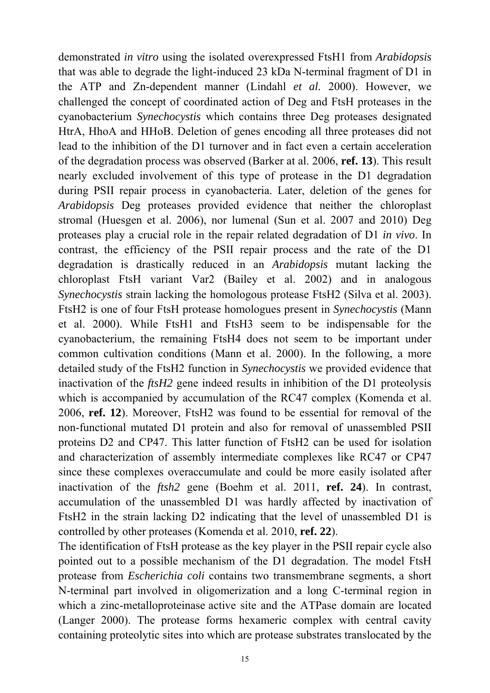demonstrated *in vitro* using the isolated overexpressed FtsH1 from *Arabidopsis* that was able to degrade the light-induced 23 kDa N-terminal fragment of D1 in the ATP and Zn-dependent manner (Lindahl *et al.* 2000). However, we challenged the concept of coordinated action of Deg and FtsH proteases in the cyanobacterium *Synechocystis* which contains three Deg proteases designated HtrA, HhoA and HHoB. Deletion of genes encoding all three proteases did not lead to the inhibition of the D1 turnover and in fact even a certain acceleration of the degradation process was observed (Barker at al. 2006, **ref. 13**). This result nearly excluded involvement of this type of protease in the D1 degradation during PSII repair process in cyanobacteria. Later, deletion of the genes for *Arabidopsis* Deg proteases provided evidence that neither the chloroplast stromal (Huesgen et al. 2006), nor lumenal (Sun et al. 2007 and 2010) Deg proteases play a crucial role in the repair related degradation of D1 *in vivo*. In contrast, the efficiency of the PSII repair process and the rate of the D1 degradation is drastically reduced in an *Arabidopsis* mutant lacking the chloroplast FtsH variant Var2 (Bailey et al. 2002) and in analogous *Synechocystis* strain lacking the homologous protease FtsH2 (Silva et al. 2003). FtsH2 is one of four FtsH protease homologues present in *Synechocystis* (Mann et al. 2000). While FtsH1 and FtsH3 seem to be indispensable for the cyanobacterium, the remaining FtsH4 does not seem to be important under common cultivation conditions (Mann et al. 2000). In the following, a more detailed study of the FtsH2 function in *Synechocystis* we provided evidence that inactivation of the *ftsH2* gene indeed results in inhibition of the D1 proteolysis which is accompanied by accumulation of the RC47 complex (Komenda et al. 2006, **ref. 12**). Moreover, FtsH2 was found to be essential for removal of the non-functional mutated D1 protein and also for removal of unassembled PSII proteins D2 and CP47. This latter function of FtsH2 can be used for isolation and characterization of assembly intermediate complexes like RC47 or CP47 since these complexes overaccumulate and could be more easily isolated after inactivation of the *ftsh2* gene (Boehm et al. 2011, **ref. 24**). In contrast, accumulation of the unassembled D1 was hardly affected by inactivation of FtsH2 in the strain lacking D2 indicating that the level of unassembled D1 is controlled by other proteases (Komenda et al. 2010, **ref. 22**).

The identification of FtsH protease as the key player in the PSII repair cycle also pointed out to a possible mechanism of the D1 degradation. The model FtsH protease from *Escherichia coli* contains two transmembrane segments, a short N-terminal part involved in oligomerization and a long C-terminal region in which a zinc-metalloproteinase active site and the ATPase domain are located (Langer 2000). The protease forms hexameric complex with central cavity containing proteolytic sites into which are protease substrates translocated by the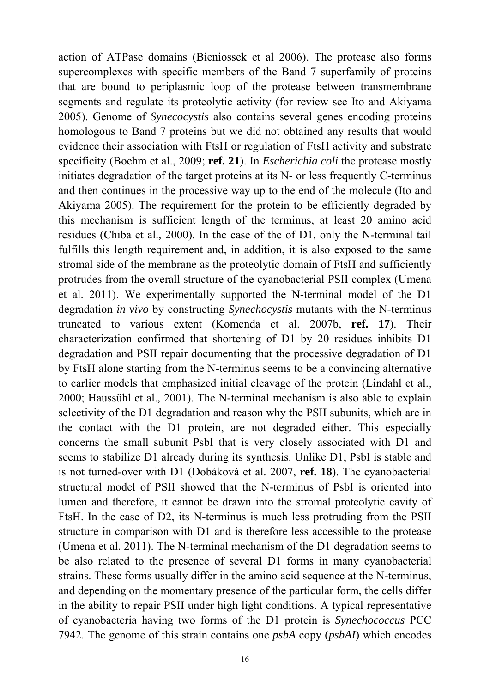action of ATPase domains (Bieniossek et al 2006). The protease also forms supercomplexes with specific members of the Band 7 superfamily of proteins that are bound to periplasmic loop of the protease between transmembrane segments and regulate its proteolytic activity (for review see Ito and Akiyama 2005). Genome of *Synecocystis* also contains several genes encoding proteins homologous to Band 7 proteins but we did not obtained any results that would evidence their association with FtsH or regulation of FtsH activity and substrate specificity (Boehm et al., 2009; **ref. 21**). In *Escherichia coli* the protease mostly initiates degradation of the target proteins at its N- or less frequently C-terminus and then continues in the processive way up to the end of the molecule (Ito and Akiyama 2005). The requirement for the protein to be efficiently degraded by this mechanism is sufficient length of the terminus, at least 20 amino acid residues (Chiba et al.*,* 2000). In the case of the of D1, only the N-terminal tail fulfills this length requirement and, in addition, it is also exposed to the same stromal side of the membrane as the proteolytic domain of FtsH and sufficiently protrudes from the overall structure of the cyanobacterial PSII complex (Umena et al. 2011). We experimentally supported the N-terminal model of the D1 degradation *in vivo* by constructing *Synechocystis* mutants with the N-terminus truncated to various extent (Komenda et al. 2007b, **ref. 17**). Their characterization confirmed that shortening of D1 by 20 residues inhibits D1 degradation and PSII repair documenting that the processive degradation of D1 by FtsH alone starting from the N-terminus seems to be a convincing alternative to earlier models that emphasized initial cleavage of the protein (Lindahl et al., 2000; Haussühl et al.*,* 2001). The N-terminal mechanism is also able to explain selectivity of the D1 degradation and reason why the PSII subunits, which are in the contact with the D1 protein, are not degraded either. This especially concerns the small subunit PsbI that is very closely associated with D1 and seems to stabilize D1 already during its synthesis. Unlike D1, PsbI is stable and is not turned-over with D1 (Dobáková et al. 2007, **ref. 18**). The cyanobacterial structural model of PSII showed that the N-terminus of PsbI is oriented into lumen and therefore, it cannot be drawn into the stromal proteolytic cavity of FtsH. In the case of D2, its N-terminus is much less protruding from the PSII structure in comparison with D1 and is therefore less accessible to the protease (Umena et al. 2011). The N-terminal mechanism of the D1 degradation seems to be also related to the presence of several D1 forms in many cyanobacterial strains. These forms usually differ in the amino acid sequence at the N-terminus, and depending on the momentary presence of the particular form, the cells differ in the ability to repair PSII under high light conditions. A typical representative of cyanobacteria having two forms of the D1 protein is *Synechococcus* PCC 7942. The genome of this strain contains one *psbA* copy (*psbAI*) which encodes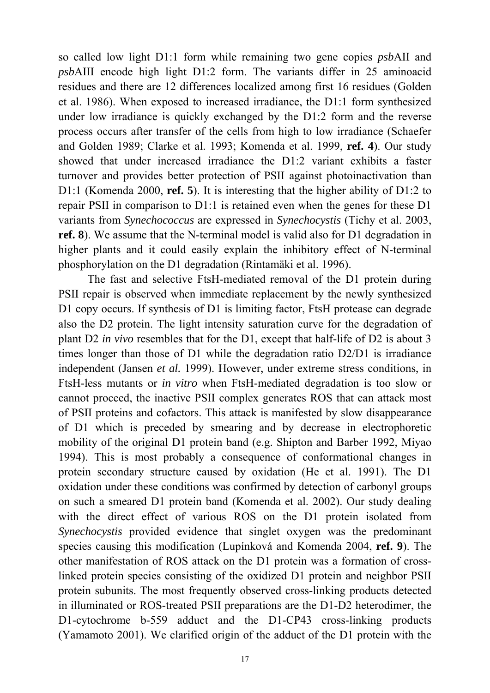so called low light D1:1 form while remaining two gene copies *psb*AII and *psb*AIII encode high light D1:2 form. The variants differ in 25 aminoacid residues and there are 12 differences localized among first 16 residues (Golden et al. 1986). When exposed to increased irradiance, the D1:1 form synthesized under low irradiance is quickly exchanged by the D1:2 form and the reverse process occurs after transfer of the cells from high to low irradiance (Schaefer and Golden 1989; Clarke et al. 1993; Komenda et al. 1999, **ref. 4**). Our study showed that under increased irradiance the D1:2 variant exhibits a faster turnover and provides better protection of PSII against photoinactivation than D1:1 (Komenda 2000, **ref. 5**). It is interesting that the higher ability of D1:2 to repair PSII in comparison to D1:1 is retained even when the genes for these D1 variants from *Synechococcus* are expressed in *Synechocystis* (Tichy et al. 2003, **ref. 8**). We assume that the N-terminal model is valid also for D1 degradation in higher plants and it could easily explain the inhibitory effect of N-terminal phosphorylation on the D1 degradation (Rintamäki et al. 1996).

The fast and selective FtsH-mediated removal of the D1 protein during PSII repair is observed when immediate replacement by the newly synthesized D1 copy occurs. If synthesis of D1 is limiting factor, FtsH protease can degrade also the D2 protein. The light intensity saturation curve for the degradation of plant D2 *in vivo* resembles that for the D1, except that half-life of D2 is about 3 times longer than those of D1 while the degradation ratio D2/D1 is irradiance independent (Jansen *et al.* 1999). However, under extreme stress conditions, in FtsH-less mutants or *in vitro* when FtsH-mediated degradation is too slow or cannot proceed, the inactive PSII complex generates ROS that can attack most of PSII proteins and cofactors. This attack is manifested by slow disappearance of D1 which is preceded by smearing and by decrease in electrophoretic mobility of the original D1 protein band (e.g. Shipton and Barber 1992, Miyao 1994). This is most probably a consequence of conformational changes in protein secondary structure caused by oxidation (He et al. 1991). The D1 oxidation under these conditions was confirmed by detection of carbonyl groups on such a smeared D1 protein band (Komenda et al. 2002). Our study dealing with the direct effect of various ROS on the D1 protein isolated from *Synechocystis* provided evidence that singlet oxygen was the predominant species causing this modification (Lupínková and Komenda 2004, **ref. 9**). The other manifestation of ROS attack on the D1 protein was a formation of crosslinked protein species consisting of the oxidized D1 protein and neighbor PSII protein subunits. The most frequently observed cross-linking products detected in illuminated or ROS-treated PSII preparations are the D1-D2 heterodimer, the D1-cytochrome b-559 adduct and the D1-CP43 cross-linking products (Yamamoto 2001). We clarified origin of the adduct of the D1 protein with the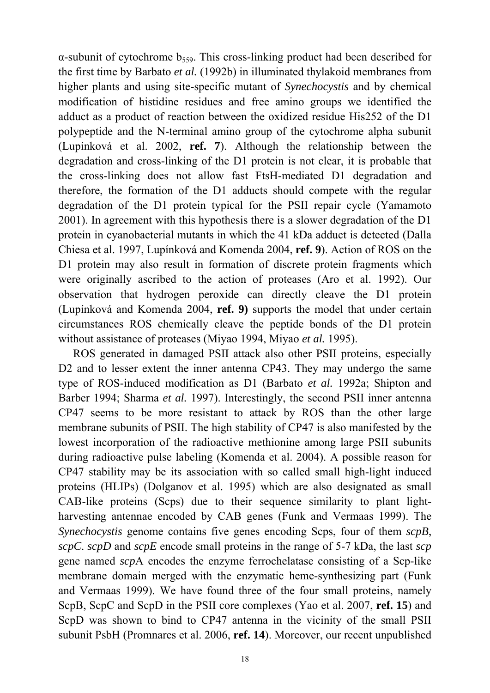$\alpha$ -subunit of cytochrome  $b_{559}$ . This cross-linking product had been described for the first time by Barbato *et al.* (1992b) in illuminated thylakoid membranes from higher plants and using site-specific mutant of *Synechocystis* and by chemical modification of histidine residues and free amino groups we identified the adduct as a product of reaction between the oxidized residue His252 of the D1 polypeptide and the N-terminal amino group of the cytochrome alpha subunit (Lupínková et al. 2002, **ref. 7**). Although the relationship between the degradation and cross-linking of the D1 protein is not clear, it is probable that the cross-linking does not allow fast FtsH-mediated D1 degradation and therefore, the formation of the D1 adducts should compete with the regular degradation of the D1 protein typical for the PSII repair cycle (Yamamoto 2001). In agreement with this hypothesis there is a slower degradation of the D1 protein in cyanobacterial mutants in which the 41 kDa adduct is detected (Dalla Chiesa et al. 1997, Lupínková and Komenda 2004, **ref. 9**). Action of ROS on the D1 protein may also result in formation of discrete protein fragments which were originally ascribed to the action of proteases (Aro et al. 1992). Our observation that hydrogen peroxide can directly cleave the D1 protein (Lupínková and Komenda 2004, **ref. 9)** supports the model that under certain circumstances ROS chemically cleave the peptide bonds of the D1 protein without assistance of proteases (Miyao 1994, Miyao *et al.* 1995).

ROS generated in damaged PSII attack also other PSII proteins, especially D2 and to lesser extent the inner antenna CP43. They may undergo the same type of ROS-induced modification as D1 (Barbato *et al.* 1992a; Shipton and Barber 1994; Sharma *et al.* 1997). Interestingly, the second PSII inner antenna CP47 seems to be more resistant to attack by ROS than the other large membrane subunits of PSII. The high stability of CP47 is also manifested by the lowest incorporation of the radioactive methionine among large PSII subunits during radioactive pulse labeling (Komenda et al. 2004). A possible reason for CP47 stability may be its association with so called small high-light induced proteins (HLIPs) (Dolganov et al. 1995) which are also designated as small CAB-like proteins (Scps) due to their sequence similarity to plant lightharvesting antennae encoded by CAB genes (Funk and Vermaas 1999). The *Synechocystis* genome contains five genes encoding Scps, four of them *scpB*, *scpC*. *scpD* and *scpE* encode small proteins in the range of 5-7 kDa, the last *scp* gene named *scp*A encodes the enzyme ferrochelatase consisting of a Scp-like membrane domain merged with the enzymatic heme-synthesizing part (Funk and Vermaas 1999). We have found three of the four small proteins, namely ScpB, ScpC and ScpD in the PSII core complexes (Yao et al. 2007, **ref. 15**) and ScpD was shown to bind to CP47 antenna in the vicinity of the small PSII subunit PsbH (Promnares et al. 2006, **ref. 14**). Moreover, our recent unpublished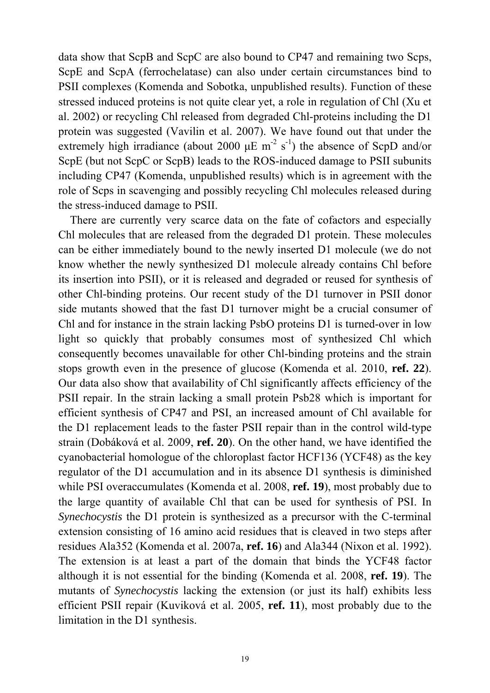data show that ScpB and ScpC are also bound to CP47 and remaining two Scps, ScpE and ScpA (ferrochelatase) can also under certain circumstances bind to PSII complexes (Komenda and Sobotka, unpublished results). Function of these stressed induced proteins is not quite clear yet, a role in regulation of Chl (Xu et al. 2002) or recycling Chl released from degraded Chl-proteins including the D1 protein was suggested (Vavilin et al. 2007). We have found out that under the extremely high irradiance (about 2000  $\mu$ E m<sup>-2</sup> s<sup>-1</sup>) the absence of ScpD and/or ScpE (but not ScpC or ScpB) leads to the ROS-induced damage to PSII subunits including CP47 (Komenda, unpublished results) which is in agreement with the role of Scps in scavenging and possibly recycling Chl molecules released during the stress-induced damage to PSII.

There are currently very scarce data on the fate of cofactors and especially Chl molecules that are released from the degraded D1 protein. These molecules can be either immediately bound to the newly inserted D1 molecule (we do not know whether the newly synthesized D1 molecule already contains Chl before its insertion into PSII), or it is released and degraded or reused for synthesis of other Chl-binding proteins. Our recent study of the D1 turnover in PSII donor side mutants showed that the fast D1 turnover might be a crucial consumer of Chl and for instance in the strain lacking PsbO proteins D1 is turned-over in low light so quickly that probably consumes most of synthesized Chl which consequently becomes unavailable for other Chl-binding proteins and the strain stops growth even in the presence of glucose (Komenda et al. 2010, **ref. 22**). Our data also show that availability of Chl significantly affects efficiency of the PSII repair. In the strain lacking a small protein Psb28 which is important for efficient synthesis of CP47 and PSI, an increased amount of Chl available for the D1 replacement leads to the faster PSII repair than in the control wild-type strain (Dobáková et al. 2009, **ref. 20**). On the other hand, we have identified the cyanobacterial homologue of the chloroplast factor HCF136 (YCF48) as the key regulator of the D1 accumulation and in its absence D1 synthesis is diminished while PSI overaccumulates (Komenda et al. 2008, **ref. 19**), most probably due to the large quantity of available Chl that can be used for synthesis of PSI. In *Synechocystis* the D1 protein is synthesized as a precursor with the C-terminal extension consisting of 16 amino acid residues that is cleaved in two steps after residues Ala352 (Komenda et al. 2007a, **ref. 16**) and Ala344 (Nixon et al. 1992). The extension is at least a part of the domain that binds the YCF48 factor although it is not essential for the binding (Komenda et al. 2008, **ref. 19**). The mutants of *Synechocystis* lacking the extension (or just its half) exhibits less efficient PSII repair (Kuviková et al. 2005, **ref. 11**), most probably due to the limitation in the D1 synthesis.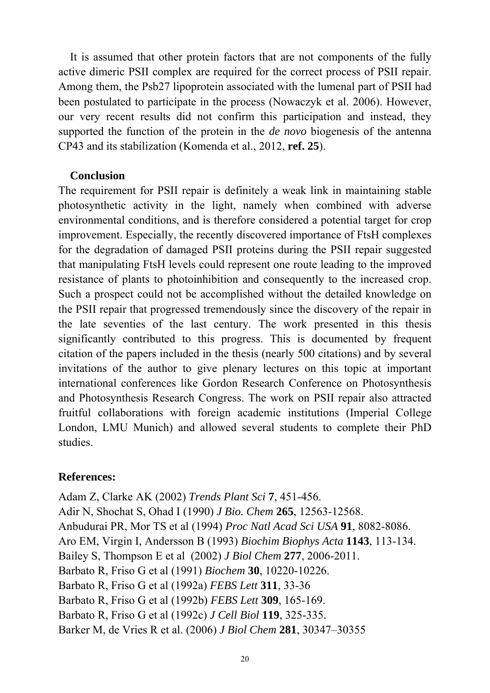It is assumed that other protein factors that are not components of the fully active dimeric PSII complex are required for the correct process of PSII repair. Among them, the Psb27 lipoprotein associated with the lumenal part of PSII had been postulated to participate in the process (Nowaczyk et al. 2006). However, our very recent results did not confirm this participation and instead, they supported the function of the protein in the *de novo* biogenesis of the antenna CP43 and its stabilization (Komenda et al., 2012, **ref. 25**).

#### **Conclusion**

The requirement for PSII repair is definitely a weak link in maintaining stable photosynthetic activity in the light, namely when combined with adverse environmental conditions, and is therefore considered a potential target for crop improvement. Especially, the recently discovered importance of FtsH complexes for the degradation of damaged PSII proteins during the PSII repair suggested that manipulating FtsH levels could represent one route leading to the improved resistance of plants to photoinhibition and consequently to the increased crop. Such a prospect could not be accomplished without the detailed knowledge on the PSII repair that progressed tremendously since the discovery of the repair in the late seventies of the last century. The work presented in this thesis significantly contributed to this progress. This is documented by frequent citation of the papers included in the thesis (nearly 500 citations) and by several invitations of the author to give plenary lectures on this topic at important international conferences like Gordon Research Conference on Photosynthesis and Photosynthesis Research Congress. The work on PSII repair also attracted fruitful collaborations with foreign academic institutions (Imperial College London, LMU Munich) and allowed several students to complete their PhD studies.

## **References:**

Adam Z, Clarke AK (2002) *Trends Plant Sci* **7**, 451-456. Adir N, Shochat S, Ohad I (1990) *J Bio. Chem* **265**, 12563-12568. Anbudurai PR, Mor TS et al (1994) *Proc Natl Acad Sci USA* **91**, 8082-8086. Aro EM, Virgin I, Andersson B (1993) *Biochim Biophys Acta* **1143**, 113-134. Bailey S, Thompson E et al (2002) *J Biol Chem* **277**, 2006-2011. Barbato R, Friso G et al (1991) *Biochem* **30**, 10220-10226. Barbato R, Friso G et al (1992a) *FEBS Lett* **311**, 33-36 Barbato R, Friso G et al (1992b) *FEBS Lett* **309**, 165-169. Barbato R, Friso G et al (1992c) *J Cell Biol* **119**, 325-335. Barker M, de Vries R et al. (2006) *J Biol Chem* **281**, 30347–30355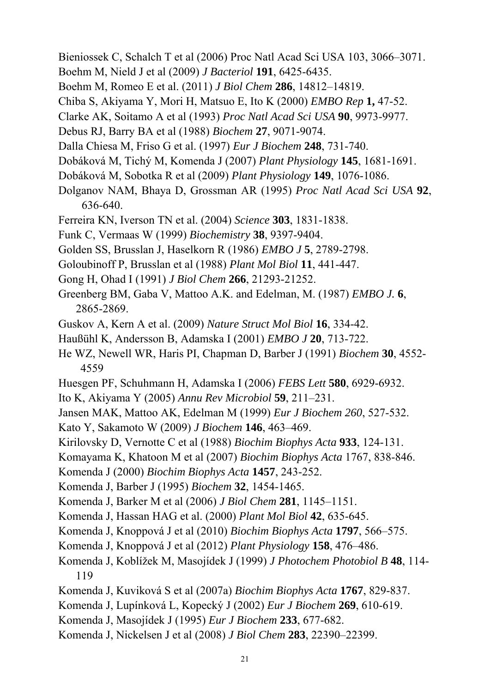- Bieniossek C, Schalch T et al (2006) Proc Natl Acad Sci USA 103, 3066–3071.
- Boehm M, Nield J et al (2009) *J Bacteriol* **191**, 6425-6435.
- Boehm M, Romeo E et al. (2011) *J Biol Chem* **286**, 14812–14819.
- Chiba S, Akiyama Y, Mori H, Matsuo E, Ito K (2000) *EMBO Rep* **1,** 47-52.
- Clarke AK, Soitamo A et al (1993) *Proc Natl Acad Sci USA* **90**, 9973-9977.
- Debus RJ, Barry BA et al (1988) *Biochem* **27**, 9071-9074.
- Dalla Chiesa M, Friso G et al. (1997) *Eur J Biochem* **248**, 731-740.
- Dobáková M, Tichý M, Komenda J (2007) *Plant Physiology* **145**, 1681-1691.
- Dobáková M, Sobotka R et al (2009) *Plant Physiology* **149**, 1076-1086.
- Dolganov NAM, Bhaya D, Grossman AR (1995) *Proc Natl Acad Sci USA* **92**, 636-640.
- Ferreira KN, Iverson TN et al. (2004) *Science* **303**, 1831-1838.
- Funk C, Vermaas W (1999) *Biochemistry* **38**, 9397-9404.
- Golden SS, Brusslan J, Haselkorn R (1986) *EMBO J* **5**, 2789-2798.
- Goloubinoff P, Brusslan et al (1988) *Plant Mol Biol* **11**, 441-447.
- Gong H, Ohad I (1991) *J Biol Chem* **266**, 21293-21252.
- Greenberg BM, Gaba V, Mattoo A.K. and Edelman, M. (1987) *EMBO J.* **6**, 2865-2869.
- Guskov A, Kern A et al. (2009) *Nature Struct Mol Biol* **16**, 334-42.
- Haußühl K, Andersson B, Adamska I (2001) *EMBO J* **20**, 713-722.
- He WZ, Newell WR, Haris PI, Chapman D, Barber J (1991) *Biochem* **30**, 4552- 4559
- Huesgen PF, Schuhmann H, Adamska I (2006) *FEBS Lett* **580**, 6929-6932.
- Ito K, Akiyama Y (2005) *Annu Rev Microbiol* **59**, 211–231.
- Jansen MAK, Mattoo AK, Edelman M (1999) *Eur J Biochem 260*, 527-532.
- Kato Y, Sakamoto W (2009) *J Biochem* **146**, 463–469.
- Kirilovsky D, Vernotte C et al (1988) *Biochim Biophys Acta* **933**, 124-131.
- Komayama K, Khatoon M et al (2007) *Biochim Biophys Acta* 1767, 838-846.
- Komenda J (2000) *Biochim Biophys Acta* **1457**, 243-252.
- Komenda J, Barber J (1995) *Biochem* **32**, 1454-1465.
- Komenda J, Barker M et al (2006) *J Biol Chem* **281**, 1145–1151.
- Komenda J, Hassan HAG et al. (2000) *Plant Mol Biol* **42**, 635-645.
- Komenda J, Knoppová J et al (2010) *Biochim Biophys Acta* **1797**, 566–575.
- Komenda J, Knoppová J et al (2012) *Plant Physiology* **158**, 476–486.
- Komenda J, Koblížek M, Masojídek J (1999) *J Photochem Photobiol B* **48**, 114- 119
- Komenda J, Kuviková S et al (2007a) *Biochim Biophys Acta* **1767**, 829-837.
- Komenda J, Lupínková L, Kopecký J (2002) *Eur J Biochem* **269**, 610-619.
- Komenda J, Masojídek J (1995) *Eur J Biochem* **233**, 677-682.
- Komenda J, Nickelsen J et al (2008) *J Biol Chem* **283**, 22390–22399.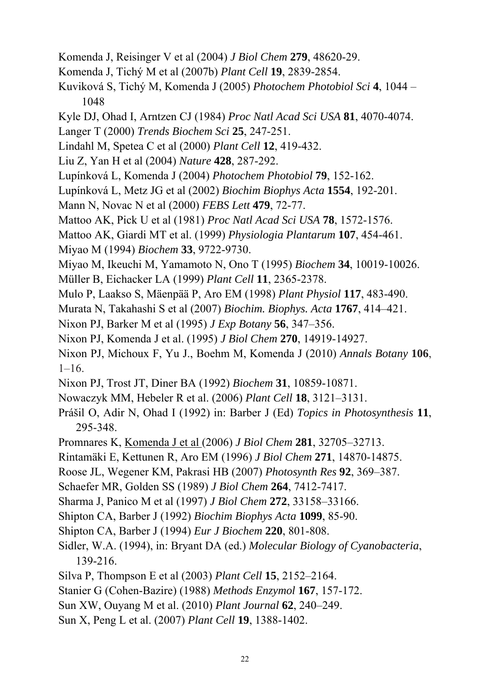- Komenda J, Reisinger V et al (2004) *J Biol Chem* **279**, 48620-29.
- Komenda J, Tichý M et al (2007b) *Plant Cell* **19**, 2839-2854.
- Kuviková S, Tichý M, Komenda J (2005) *Photochem Photobiol Sci* **4**, 1044 1048
- Kyle DJ, Ohad I, Arntzen CJ (1984) *Proc Natl Acad Sci USA* **81**, 4070-4074.
- Langer T (2000) *Trends Biochem Sci* **25**, 247-251.
- Lindahl M, Spetea C et al (2000) *Plant Cell* **12**, 419-432.
- Liu Z, Yan H et al (2004) *Nature* **428**, 287-292.
- Lupínková L, Komenda J (2004) *Photochem Photobiol* **79**, 152-162.
- Lupínková L, Metz JG et al (2002) *Biochim Biophys Acta* **1554**, 192-201.
- Mann N, Novac N et al (2000) *FEBS Lett* **479**, 72-77.
- Mattoo AK, Pick U et al (1981) *Proc Natl Acad Sci USA* **78**, 1572-1576.
- Mattoo AK, Giardi MT et al. (1999) *Physiologia Plantarum* **107**, 454-461.
- Miyao M (1994) *Biochem* **33**, 9722-9730.
- Miyao M, Ikeuchi M, Yamamoto N, Ono T (1995) *Biochem* **34**, 10019-10026.
- Müller B, Eichacker LA (1999) *Plant Cell* **11**, 2365-2378.
- Mulo P, Laakso S, Mäenpää P, Aro EM (1998) *Plant Physiol* **117**, 483-490.
- Murata N, Takahashi S et al (2007) *Biochim. Biophys. Acta* **1767**, 414–421.
- Nixon PJ, Barker M et al (1995) *J Exp Botany* **56**, 347–356.
- Nixon PJ, Komenda J et al. (1995) *J Biol Chem* **270**, 14919-14927.
- Nixon PJ, Michoux F, Yu J., Boehm M, Komenda J (2010) *Annals Botany* **106**,  $1-16$ .
- Nixon PJ, Trost JT, Diner BA (1992) *Biochem* **31**, 10859-10871.
- Nowaczyk MM, Hebeler R et al. (2006) *Plant Cell* **18**, 3121–3131.
- Prášil O, Adir N, Ohad I (1992) in: Barber J (Ed) *Topics in Photosynthesis* **11**, 295-348.
- Promnares K, Komenda J et al (2006) *J Biol Chem* **281**, 32705–32713.
- Rintamäki E, Kettunen R, Aro EM (1996) *J Biol Chem* **271**, 14870-14875.
- Roose JL, Wegener KM, Pakrasi HB (2007) *Photosynth Res* **92**, 369–387.
- Schaefer MR, Golden SS (1989) *J Biol Chem* **264**, 7412-7417.
- Sharma J, Panico M et al (1997) *J Biol Chem* **272**, 33158–33166.
- Shipton CA, Barber J (1992) *Biochim Biophys Acta* **1099**, 85-90.
- Shipton CA, Barber J (1994) *Eur J Biochem* **220**, 801-808.
- Sidler, W.A. (1994), in: Bryant DA (ed.) *Molecular Biology of Cyanobacteria*, 139-216.
- Silva P, Thompson E et al (2003) *Plant Cell* **15**, 2152–2164.
- Stanier G (Cohen-Bazire) (1988) *Methods Enzymol* **167**, 157-172.
- Sun XW, Ouyang M et al. (2010) *Plant Journal* **62**, 240–249.
- Sun X, Peng L et al. (2007) *Plant Cell* **19**, 1388-1402.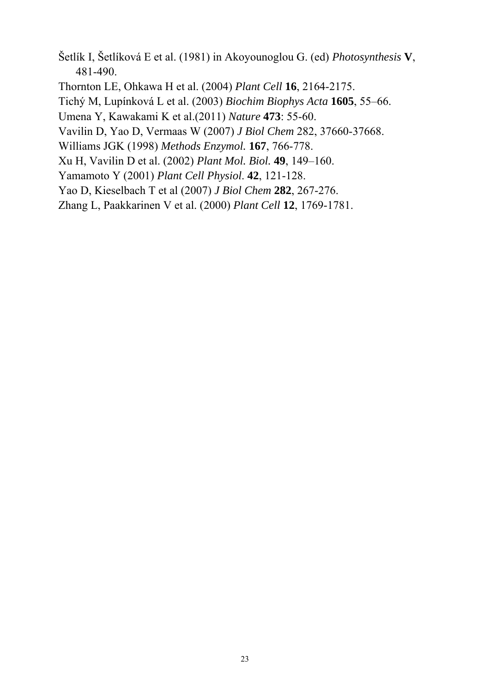Šetlík I, Šetlíková E et al. (1981) in Akoyounoglou G. (ed) *Photosynthesis* **V**, 481-490.

Thornton LE, Ohkawa H et al. (2004) *Plant Cell* **16**, 2164-2175.

Tichý M, Lupínková L et al. (2003) *Biochim Biophys Acta* **1605**, 55–66.

Umena Y, Kawakami K et al.(2011) *Nature* **473**: 55-60.

Vavilin D, Yao D, Vermaas W (2007) *J Biol Chem* 282, 37660-37668.

Williams JGK (1998) *Methods Enzymol.* **167**, 766-778.

Xu H, Vavilin D et al. (2002) *Plant Mol. Biol.* **49**, 149–160.

Yamamoto Y (2001) *Plant Cell Physiol*. **42**, 121-128.

Yao D, Kieselbach T et al (2007) *J Biol Chem* **282**, 267-276.

Zhang L, Paakkarinen V et al. (2000) *Plant Cell* **12**, 1769-1781.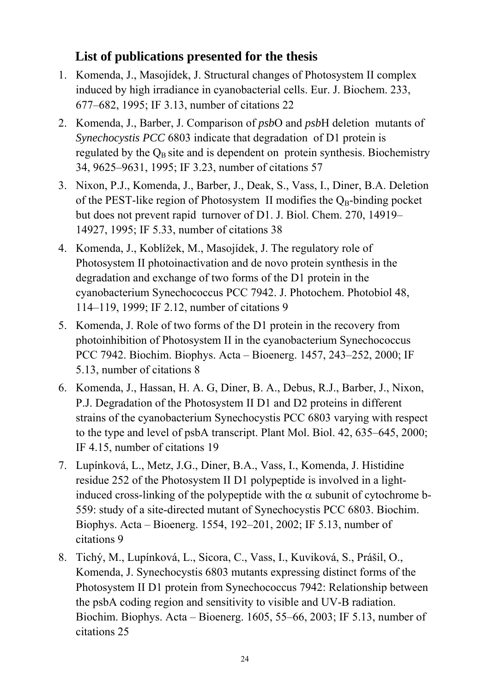## **List of publications presented for the thesis**

- 1. Komenda, J., Masojídek, J. Structural changes of Photosystem II complex induced by high irradiance in cyanobacterial cells. Eur. J. Biochem. 233, 677–682, 1995; IF 3.13, number of citations 22
- 2. Komenda, J., Barber, J. Comparison of *psb*O and *psb*H deletion mutants of *Synechocystis PCC* 6803 indicate that degradation of D1 protein is regulated by the  $Q_B$  site and is dependent on protein synthesis. Biochemistry 34, 9625–9631, 1995; IF 3.23, number of citations 57
- 3. Nixon, P.J., Komenda, J., Barber, J., Deak, S., Vass, I., Diner, B.A. Deletion of the PEST-like region of Photosystem II modifies the  $Q_B$ -binding pocket but does not prevent rapid turnover of D1. J. Biol. Chem. 270, 14919– 14927, 1995; IF 5.33, number of citations 38
- 4. Komenda, J., Koblížek, M., Masojídek, J. The regulatory role of Photosystem II photoinactivation and de novo protein synthesis in the degradation and exchange of two forms of the D1 protein in the cyanobacterium Synechococcus PCC 7942. J. Photochem. Photobiol 48, 114–119, 1999; IF 2.12, number of citations 9
- 5. Komenda, J. Role of two forms of the D1 protein in the recovery from photoinhibition of Photosystem II in the cyanobacterium Synechococcus PCC 7942. Biochim. Biophys. Acta – Bioenerg. 1457, 243–252, 2000; IF 5.13, number of citations 8
- 6. Komenda, J., Hassan, H. A. G, Diner, B. A., Debus, R.J., Barber, J., Nixon, P.J. Degradation of the Photosystem II D1 and D2 proteins in different strains of the cyanobacterium Synechocystis PCC 6803 varying with respect to the type and level of psbA transcript. Plant Mol. Biol. 42, 635–645, 2000; IF 4.15, number of citations 19
- 7. Lupínková, L., Metz, J.G., Diner, B.A., Vass, I., Komenda, J. Histidine residue 252 of the Photosystem II D1 polypeptide is involved in a lightinduced cross-linking of the polypeptide with the  $\alpha$  subunit of cytochrome b-559: study of a site-directed mutant of Synechocystis PCC 6803. Biochim. Biophys. Acta – Bioenerg. 1554, 192–201, 2002; IF 5.13, number of citations 9
- 8. Tichý, M., Lupínková, L., Sicora, C., Vass, I., Kuviková, S., Prášil, O., Komenda, J. Synechocystis 6803 mutants expressing distinct forms of the Photosystem II D1 protein from Synechococcus 7942: Relationship between the psbA coding region and sensitivity to visible and UV-B radiation. Biochim. Biophys. Acta – Bioenerg. 1605, 55–66, 2003; IF 5.13, number of citations 25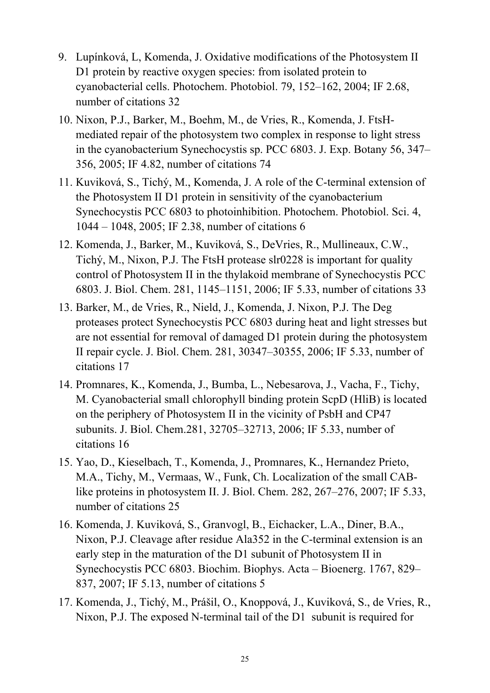- 9. Lupínková, L, Komenda, J. Oxidative modifications of the Photosystem II D1 protein by reactive oxygen species: from isolated protein to cyanobacterial cells. Photochem. Photobiol. 79, 152–162, 2004; IF 2.68, number of citations 32
- 10. Nixon, P.J., Barker, M., Boehm, M., de Vries, R., Komenda, J. FtsHmediated repair of the photosystem two complex in response to light stress in the cyanobacterium Synechocystis sp. PCC 6803. J. Exp. Botany 56, 347– 356, 2005; IF 4.82, number of citations 74
- 11. Kuviková, S., Tichý, M., Komenda, J. A role of the C-terminal extension of the Photosystem II D1 protein in sensitivity of the cyanobacterium Synechocystis PCC 6803 to photoinhibition. Photochem. Photobiol. Sci. 4, 1044 – 1048, 2005; IF 2.38, number of citations 6
- 12. Komenda, J., Barker, M., Kuviková, S., DeVries, R., Mullineaux, C.W., Tichý, M., Nixon, P.J. The FtsH protease slr0228 is important for quality control of Photosystem II in the thylakoid membrane of Synechocystis PCC 6803. J. Biol. Chem. 281, 1145–1151, 2006; IF 5.33, number of citations 33
- 13. Barker, M., de Vries, R., Nield, J., Komenda, J. Nixon, P.J. The Deg proteases protect Synechocystis PCC 6803 during heat and light stresses but are not essential for removal of damaged D1 protein during the photosystem II repair cycle. J. Biol. Chem. 281, 30347–30355, 2006; IF 5.33, number of citations 17
- 14. Promnares, K., Komenda, J., Bumba, L., Nebesarova, J., Vacha, F., Tichy, M. Cyanobacterial small chlorophyll binding protein ScpD (HliB) is located on the periphery of Photosystem II in the vicinity of PsbH and CP47 subunits. J. Biol. Chem.281, 32705–32713, 2006; IF 5.33, number of citations 16
- 15. Yao, D., Kieselbach, T., Komenda, J., Promnares, K., Hernandez Prieto, M.A., Tichy, M., Vermaas, W., Funk, Ch. Localization of the small CABlike proteins in photosystem II. J. Biol. Chem. 282, 267–276, 2007; IF 5.33, number of citations 25
- 16. Komenda, J. Kuviková, S., Granvogl, B., Eichacker, L.A., Diner, B.A., Nixon, P.J. Cleavage after residue Ala352 in the C-terminal extension is an early step in the maturation of the D1 subunit of Photosystem II in Synechocystis PCC 6803. Biochim. Biophys. Acta – Bioenerg. 1767, 829– 837, 2007; IF 5.13, number of citations 5
- 17. Komenda, J., Tichý, M., Prášil, O., Knoppová, J., Kuviková, S., de Vries, R., Nixon, P.J. The exposed N-terminal tail of the D1 subunit is required for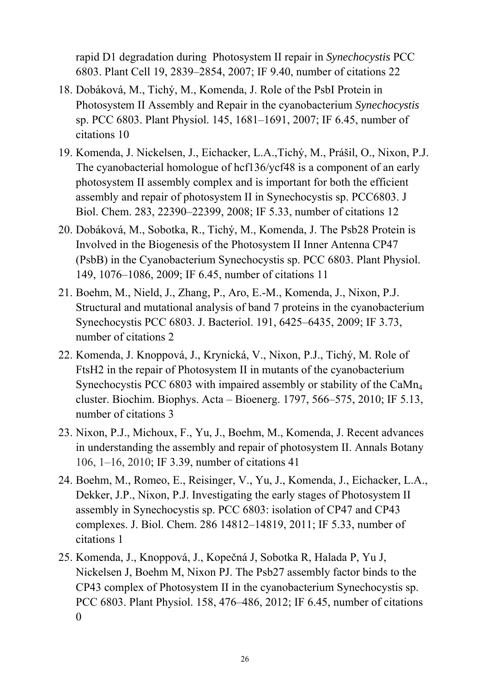rapid D1 degradation during Photosystem II repair in *Synechocystis* PCC 6803. Plant Cell 19, 2839–2854, 2007; IF 9.40, number of citations 22

- 18. Dobáková, M., Tichý, M., Komenda, J. Role of the PsbI Protein in Photosystem II Assembly and Repair in the cyanobacterium *Synechocystis* sp. PCC 6803. Plant Physiol. 145, 1681–1691, 2007; IF 6.45, number of citations 10
- 19. Komenda, J. Nickelsen, J., Eichacker, L.A.,Tichý, M., Prášil, O., Nixon, P.J. The cyanobacterial homologue of hcf136/ycf48 is a component of an early photosystem II assembly complex and is important for both the efficient assembly and repair of photosystem II in Synechocystis sp. PCC6803. J Biol. Chem. 283, 22390–22399, 2008; IF 5.33, number of citations 12
- 20. Dobáková, M., Sobotka, R., Tichý, M., Komenda, J. The Psb28 Protein is Involved in the Biogenesis of the Photosystem II Inner Antenna CP47 (PsbB) in the Cyanobacterium Synechocystis sp. PCC 6803. Plant Physiol. 149, 1076–1086, 2009; IF 6.45, number of citations 11
- 21. Boehm, M., Nield, J., Zhang, P., Aro, E.-M., Komenda, J., Nixon, P.J. Structural and mutational analysis of band 7 proteins in the cyanobacterium Synechocystis PCC 6803. J. Bacteriol. 191, 6425–6435, 2009; IF 3.73, number of citations 2
- 22. Komenda, J. Knoppová, J., Krynická, V., Nixon, P.J., Tichý, M. Role of FtsH2 in the repair of Photosystem II in mutants of the cyanobacterium Synechocystis PCC 6803 with impaired assembly or stability of the CaM $n_4$ cluster. Biochim. Biophys. Acta – Bioenerg. 1797, 566–575, 2010; IF 5.13, number of citations 3
- 23. Nixon, P.J., Michoux, F., Yu, J., Boehm, M., Komenda, J. Recent advances in understanding the assembly and repair of photosystem II. Annals Botany 106, 1–16, 2010; IF 3.39, number of citations 41
- 24. Boehm, M., Romeo, E., Reisinger, V., Yu, J., Komenda, J., Eichacker, L.A., Dekker, J.P., Nixon, P.J. Investigating the early stages of Photosystem II assembly in Synechocystis sp. PCC 6803: isolation of CP47 and CP43 complexes. J. Biol. Chem. 286 14812–14819, 2011; IF 5.33, number of citations 1
- 25. Komenda, J., Knoppová, J., Kopečná J, Sobotka R, Halada P, Yu J, Nickelsen J, Boehm M, Nixon PJ. The Psb27 assembly factor binds to the CP43 complex of Photosystem II in the cyanobacterium Synechocystis sp. PCC 6803. Plant Physiol. 158, 476–486, 2012; IF 6.45, number of citations 0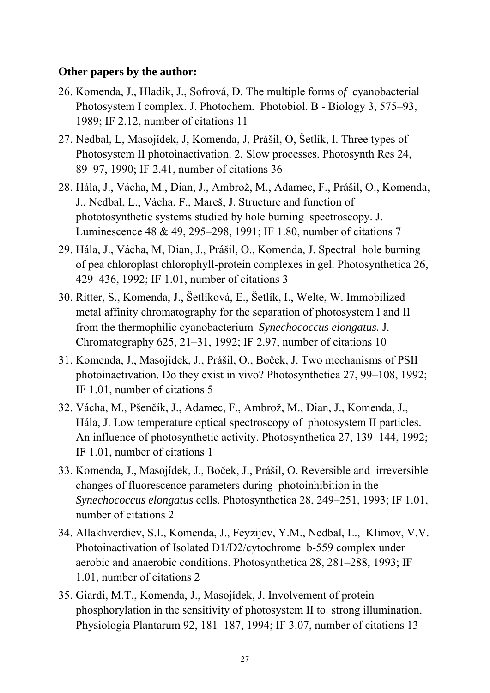## **Other papers by the author:**

- 26. Komenda, J., Hladík, J., Sofrová, D. The multiple forms o*f* cyanobacterial Photosystem I complex. J. Photochem. Photobiol. B - Biology 3, 575–93, 1989; IF 2.12, number of citations 11
- 27. Nedbal, L, Masojídek, J, Komenda, J, Prášil, O, Šetlík, I. Three types of Photosystem II photoinactivation. 2. Slow processes. Photosynth Res 24, 89–97, 1990; IF 2.41, number of citations 36
- 28. Hála, J., Vácha, M., Dian, J., Ambrož, M., Adamec, F., Prášil, O., Komenda, J., Nedbal, L., Vácha, F., Mareš, J. Structure and function of phototosynthetic systems studied by hole burning spectroscopy. J. Luminescence 48 & 49, 295–298, 1991; IF 1.80, number of citations 7
- 29. Hála, J., Vácha, M, Dian, J., Prášil, O., Komenda, J. Spectral hole burning of pea chloroplast chlorophyll-protein complexes in gel. Photosynthetica 26, 429–436, 1992; IF 1.01, number of citations 3
- 30. Ritter, S., Komenda, J., Šetlíková, E., Šetlík, I., Welte, W. Immobilized metal affinity chromatography for the separation of photosystem I and II from the thermophilic cyanobacterium *Synechococcus elongatus.* J. Chromatography 625, 21–31, 1992; IF 2.97, number of citations 10
- 31. Komenda, J., Masojídek, J., Prášil, O., Boček, J. Two mechanisms of PSII photoinactivation. Do they exist in vivo? Photosynthetica 27, 99–108, 1992; IF 1.01, number of citations 5
- 32. Vácha, M., Pšenčík, J., Adamec, F., Ambrož, M., Dian, J., Komenda, J., Hála, J. Low temperature optical spectroscopy of photosystem II particles. An influence of photosynthetic activity. Photosynthetica 27, 139–144, 1992; IF 1.01, number of citations 1
- 33. Komenda, J., Masojídek, J., Boček, J., Prášil, O. Reversible and irreversible changes of fluorescence parameters during photoinhibition in the *Synechococcus elongatus* cells. Photosynthetica 28, 249–251, 1993; IF 1.01, number of citations 2
- 34. Allakhverdiev, S.I., Komenda, J., Feyzijev, Y.M., Nedbal, L., Klimov, V.V. Photoinactivation of Isolated D1/D2/cytochrome b-559 complex under aerobic and anaerobic conditions. Photosynthetica 28, 281–288, 1993; IF 1.01, number of citations 2
- 35. Giardi, M.T., Komenda, J., Masojídek, J. Involvement of protein phosphorylation in the sensitivity of photosystem II to strong illumination. Physiologia Plantarum 92, 181–187, 1994; IF 3.07, number of citations 13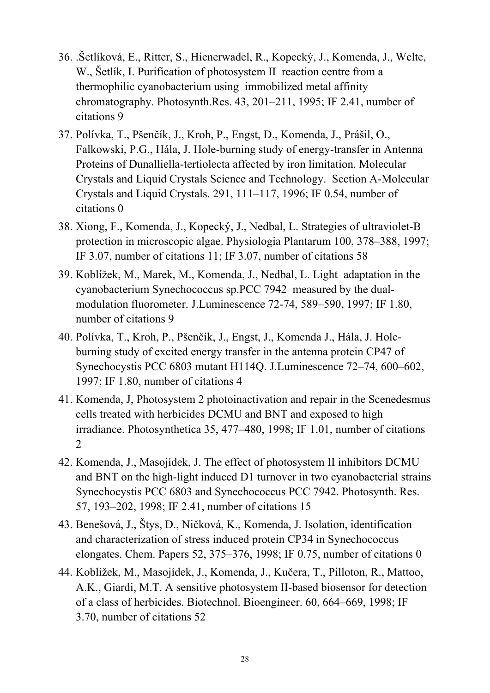- 36. .Šetlíková, E., Ritter, S., Hienerwadel, R., Kopecký, J., Komenda, J., Welte, W., Šetlík, I. Purification of photosystem II reaction centre from a thermophilic cyanobacterium using immobilized metal affinity chromatography. Photosynth.Res. 43, 201–211, 1995; IF 2.41, number of citations 9
- 37. Polívka, T., Pšenčík, J., Kroh, P., Engst, D., Komenda, J., Prášil, O., Falkowski, P.G., Hála, J. Hole-burning study of energy-transfer in Antenna Proteins of Dunalliella-tertiolecta affected by iron limitation. Molecular Crystals and Liquid Crystals Science and Technology. Section A-Molecular Crystals and Liquid Crystals. 291, 111–117, 1996; IF 0.54, number of citations 0
- 38. Xiong, F., Komenda, J., Kopecký, J., Nedbal, L. Strategies of ultraviolet-B protection in microscopic algae. Physiologia Plantarum 100, 378–388, 1997; IF 3.07, number of citations 11; IF 3.07, number of citations 58
- 39. Koblížek, M., Marek, M., Komenda, J., Nedbal, L. Light adaptation in the cyanobacterium Synechococcus sp.PCC 7942 measured by the dualmodulation fluorometer. J.Luminescence 72-74, 589–590, 1997; IF 1.80, number of citations 9
- 40. Polívka, T., Kroh, P., Pšenčík, J., Engst, J., Komenda J., Hála, J. Holeburning study of excited energy transfer in the antenna protein CP47 of Synechocystis PCC 6803 mutant H114Q. J.Luminescence 72–74, 600–602, 1997; IF 1.80, number of citations 4
- 41. Komenda, J, Photosystem 2 photoinactivation and repair in the Scenedesmus cells treated with herbicides DCMU and BNT and exposed to high irradiance. Photosynthetica 35, 477–480, 1998; IF 1.01, number of citations 2
- 42. Komenda, J., Masojídek, J. The effect of photosystem II inhibitors DCMU and BNT on the high-light induced D1 turnover in two cyanobacterial strains Synechocystis PCC 6803 and Synechococcus PCC 7942. Photosynth. Res. 57, 193–202, 1998; IF 2.41, number of citations 15
- 43. Benešová, J., Štys, D., Ničková, K., Komenda, J. Isolation, identification and characterization of stress induced protein CP34 in Synechococcus elongates. Chem. Papers 52, 375–376, 1998; IF 0.75, number of citations 0
- 44. Koblížek, M., Masojídek, J., Komenda, J., Kučera, T., Pilloton, R., Mattoo, A.K., Giardi, M.T. A sensitive photosystem II-based biosensor for detection of a class of herbicides. Biotechnol. Bioengineer. 60, 664–669, 1998; IF 3.70, number of citations 52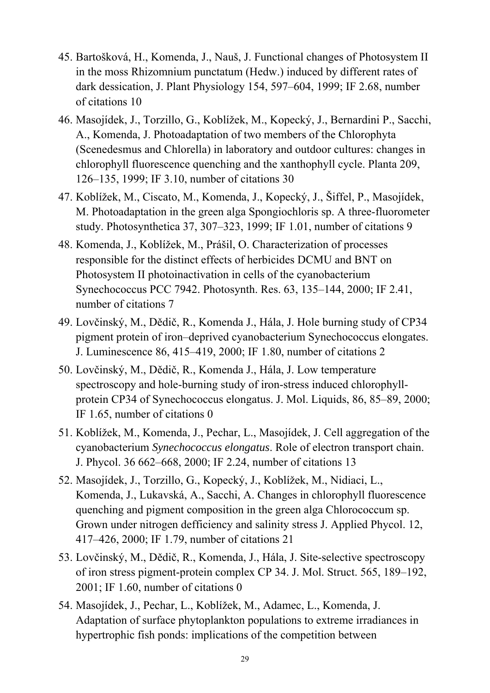- 45. Bartošková, H., Komenda, J., Nauš, J. Functional changes of Photosystem II in the moss Rhizomnium punctatum (Hedw.) induced by different rates of dark dessication, J. Plant Physiology 154, 597–604, 1999; IF 2.68, number of citations 10
- 46. Masojídek, J., Torzillo, G., Koblížek, M., Kopecký, J., Bernardini P., Sacchi, A., Komenda, J. Photoadaptation of two members of the Chlorophyta (Scenedesmus and Chlorella) in laboratory and outdoor cultures: changes in chlorophyll fluorescence quenching and the xanthophyll cycle. Planta 209, 126–135, 1999; IF 3.10, number of citations 30
- 47. Koblížek, M., Ciscato, M., Komenda, J., Kopecký, J., Šiffel, P., Masojídek, M. Photoadaptation in the green alga Spongiochloris sp. A three-fluorometer study. Photosynthetica 37, 307–323, 1999; IF 1.01, number of citations 9
- 48. Komenda, J., Koblížek, M., Prášil, O. Characterization of processes responsible for the distinct effects of herbicides DCMU and BNT on Photosystem II photoinactivation in cells of the cyanobacterium Synechococcus PCC 7942. Photosynth. Res. 63, 135–144, 2000; IF 2.41, number of citations 7
- 49. Lovčinský, M., Dědič, R., Komenda J., Hála, J. Hole burning study of CP34 pigment protein of iron–deprived cyanobacterium Synechococcus elongates. J. Luminescence 86, 415–419, 2000; IF 1.80, number of citations 2
- 50. Lovčinský, M., Dědič, R., Komenda J., Hála, J. Low temperature spectroscopy and hole-burning study of iron-stress induced chlorophyllprotein CP34 of Synechococcus elongatus. J. Mol. Liquids, 86, 85–89, 2000; IF 1.65, number of citations 0
- 51. Koblížek, M., Komenda, J., Pechar, L., Masojídek, J. Cell aggregation of the cyanobacterium *Synechococcus elongatus*. Role of electron transport chain. J. Phycol. 36 662–668, 2000; IF 2.24, number of citations 13
- 52. Masojídek, J., Torzillo, G., Kopecký, J., Koblížek, M., Nidiaci, L., Komenda, J., Lukavská, A., Sacchi, A. Changes in chlorophyll fluorescence quenching and pigment composition in the green alga Chlorococcum sp. Grown under nitrogen defficiency and salinity stress J. Applied Phycol. 12, 417–426, 2000; IF 1.79, number of citations 21
- 53. Lovčinský, M., Dědič, R., Komenda, J., Hála, J. Site-selective spectroscopy of iron stress pigment-protein complex CP 34. J. Mol. Struct. 565, 189–192, 2001; IF 1.60, number of citations 0
- 54. Masojídek, J., Pechar, L., Koblížek, M., Adamec, L., Komenda, J. Adaptation of surface phytoplankton populations to extreme irradiances in hypertrophic fish ponds: implications of the competition between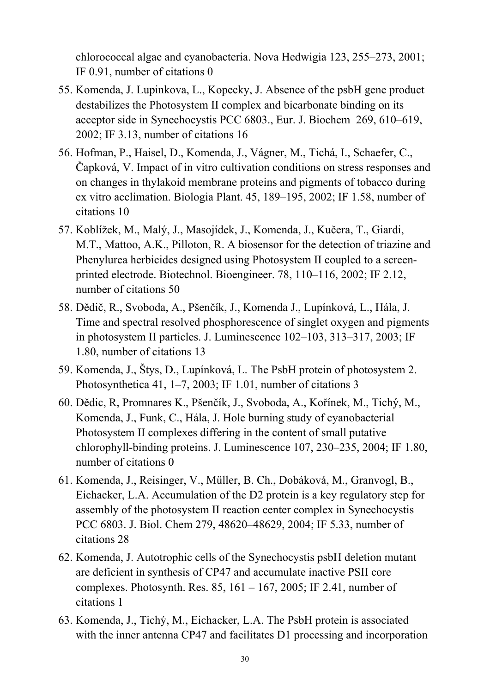chlorococcal algae and cyanobacteria. Nova Hedwigia 123, 255–273, 2001; IF 0.91, number of citations 0

- 55. Komenda, J. Lupinkova, L., Kopecky, J. Absence of the psbH gene product destabilizes the Photosystem II complex and bicarbonate binding on its acceptor side in Synechocystis PCC 6803., Eur. J. Biochem 269, 610–619, 2002; IF 3.13, number of citations 16
- 56. Hofman, P., Haisel, D., Komenda, J., Vágner, M., Tichá, I., Schaefer, C., Čapková, V. Impact of in vitro cultivation conditions on stress responses and on changes in thylakoid membrane proteins and pigments of tobacco during ex vitro acclimation. Biologia Plant. 45, 189–195, 2002; IF 1.58, number of citations 10
- 57. Koblížek, M., Malý, J., Masojídek, J., Komenda, J., Kučera, T., Giardi, M.T., Mattoo, A.K., Pilloton, R. A biosensor for the detection of triazine and Phenylurea herbicides designed using Photosystem II coupled to a screenprinted electrode. Biotechnol. Bioengineer. 78, 110–116, 2002; IF 2.12, number of citations 50
- 58. Dědič, R., Svoboda, A., Pšenčík, J., Komenda J., Lupínková, L., Hála, J. Time and spectral resolved phosphorescence of singlet oxygen and pigments in photosystem II particles. J. Luminescence 102–103, 313–317, 2003; IF 1.80, number of citations 13
- 59. Komenda, J., Štys, D., Lupínková, L. The PsbH protein of photosystem 2. Photosynthetica 41, 1–7, 2003; IF 1.01, number of citations 3
- 60. Dědic, R, Promnares K., Pšenčík, J., Svoboda, A., Kořínek, M., Tichý, M., Komenda, J., Funk, C., Hála, J. Hole burning study of cyanobacterial Photosystem II complexes differing in the content of small putative chlorophyll-binding proteins. J. Luminescence 107, 230–235, 2004; IF 1.80, number of citations 0
- 61. Komenda, J., Reisinger, V., Müller, B. Ch., Dobáková, M., Granvogl, B., Eichacker, L.A. Accumulation of the D2 protein is a key regulatory step for assembly of the photosystem II reaction center complex in Synechocystis PCC 6803. J. Biol. Chem 279, 48620–48629, 2004; IF 5.33, number of citations 28
- 62. Komenda, J. Autotrophic cells of the Synechocystis psbH deletion mutant are deficient in synthesis of CP47 and accumulate inactive PSII core complexes. Photosynth. Res.  $85$ ,  $161 - 167$ ,  $2005$ ; IF 2.41, number of citations 1
- 63. Komenda, J., Tichý, M., Eichacker, L.A. The PsbH protein is associated with the inner antenna CP47 and facilitates D1 processing and incorporation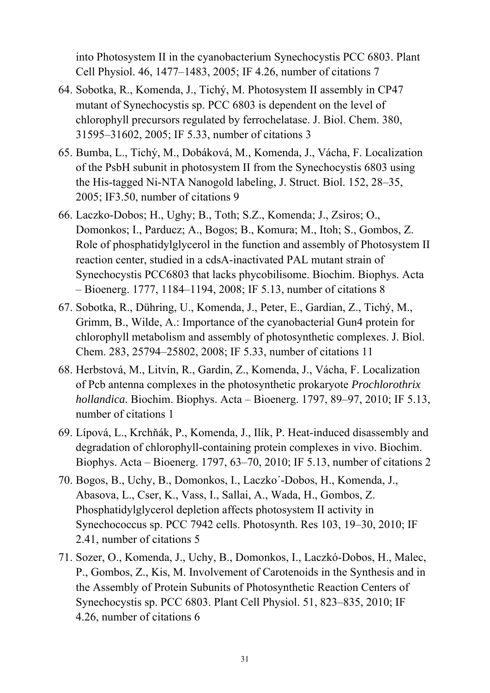into Photosystem II in the cyanobacterium Synechocystis PCC 6803. Plant Cell Physiol. 46, 1477–1483, 2005; IF 4.26, number of citations 7

- 64. Sobotka, R., Komenda, J., Tichý, M. Photosystem II assembly in CP47 mutant of Synechocystis sp. PCC 6803 is dependent on the level of chlorophyll precursors regulated by ferrochelatase. J. Biol. Chem. 380, 31595–31602, 2005; IF 5.33, number of citations 3
- 65. Bumba, L., Tichý, M., Dobáková, M., Komenda, J., Vácha, F. Localization of the PsbH subunit in photosystem II from the Synechocystis 6803 using the His-tagged Ni-NTA Nanogold labeling, J. Struct. Biol. 152, 28–35, 2005; IF3.50, number of citations 9
- 66. Laczko-Dobos; H., Ughy; B., Toth; S.Z., Komenda; J., Zsiros; O., Domonkos; I., Parducz; A., Bogos; B., Komura; M., Itoh; S., Gombos, Z. Role of phosphatidylglycerol in the function and assembly of Photosystem II reaction center, studied in a cdsA-inactivated PAL mutant strain of Synechocystis PCC6803 that lacks phycobilisome. Biochim. Biophys. Acta – Bioenerg. 1777, 1184–1194, 2008; IF 5.13, number of citations 8
- 67. Sobotka, R., Dühring, U., Komenda, J., Peter, E., Gardian, Z., Tichý, M., Grimm, B., Wilde, A.: Importance of the cyanobacterial Gun4 protein for chlorophyll metabolism and assembly of photosynthetic complexes. J. Biol. Chem. 283, 25794–25802, 2008; IF 5.33, number of citations 11
- 68. Herbstová, M., Litvín, R., Gardin, Z., Komenda, J., Vácha, F. Localization of Pcb antenna complexes in the photosynthetic prokaryote *Prochlorothrix hollandica.* Biochim. Biophys. Acta – Bioenerg. 1797, 89–97, 2010; IF 5.13, number of citations 1
- 69. Lípová, L., Krchňák, P., Komenda, J., Ilík, P. Heat-induced disassembly and degradation of chlorophyll-containing protein complexes in vivo. Biochim. Biophys. Acta – Bioenerg. 1797, 63–70, 2010; IF 5.13, number of citations 2
- 70. Bogos, B., Uchy, B., Domonkos, I., Laczko´-Dobos, H., Komenda, J., Abasova, L., Cser, K., Vass, I., Sallai, A., Wada, H., Gombos, Z. Phosphatidylglycerol depletion affects photosystem II activity in Synechococcus sp. PCC 7942 cells. Photosynth. Res 103, 19–30, 2010; IF 2.41, number of citations 5
- 71. Sozer, O., Komenda, J., Uchy, B., Domonkos, I., Laczkó-Dobos, H., Malec, P., Gombos, Z., Kis, M. Involvement of Carotenoids in the Synthesis and in the Assembly of Protein Subunits of Photosynthetic Reaction Centers of Synechocystis sp. PCC 6803. Plant Cell Physiol. 51, 823–835, 2010; IF 4.26, number of citations 6